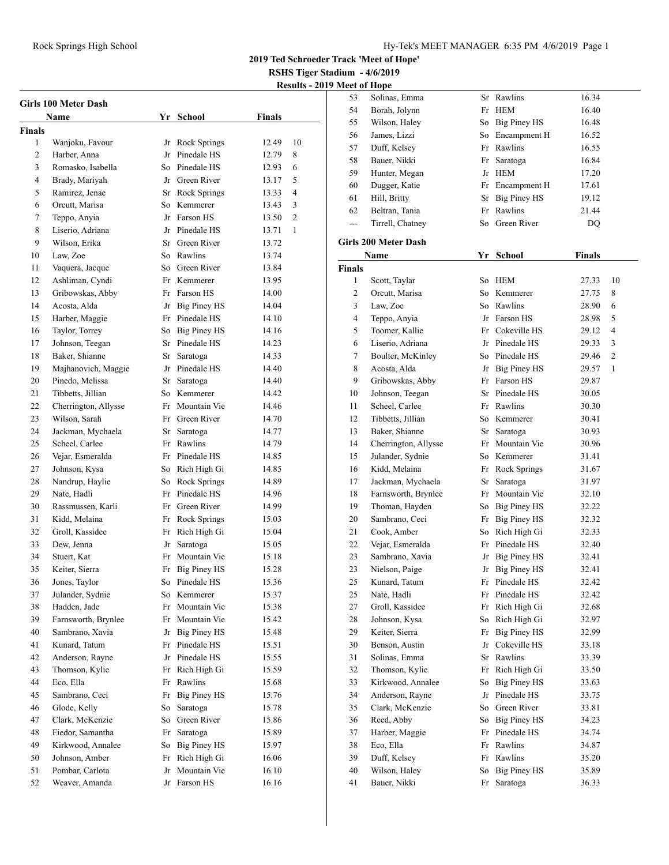**RSHS Tiger Stadium - 4/6/2019**

**Results - 2019 Meet of Hope**

| Girls 100 Meter Dash |                      |     |                     |        |    |  |  |  |
|----------------------|----------------------|-----|---------------------|--------|----|--|--|--|
|                      | Name                 |     | Yr School           | Finals |    |  |  |  |
| <b>Finals</b>        |                      |     |                     |        |    |  |  |  |
| 1                    | Wanjoku, Favour      |     | Jr Rock Springs     | 12.49  | 10 |  |  |  |
| 2                    | Harber, Anna         |     | Jr Pinedale HS      | 12.79  | 8  |  |  |  |
| 3                    | Romasko, Isabella    |     | So Pinedale HS      | 12.93  | 6  |  |  |  |
| 4                    | Brady, Mariyah       |     | Jr Green River      | 13.17  | 5  |  |  |  |
| 5                    | Ramirez, Jenae       |     | Sr Rock Springs     | 13.33  | 4  |  |  |  |
| 6                    | Orcutt, Marisa       | So- | Kemmerer            | 13.43  | 3  |  |  |  |
| 7                    | Teppo, Anyia         |     | Jr Farson HS        | 13.50  | 2  |  |  |  |
| 8                    | Liserio, Adriana     |     | Jr Pinedale HS      | 13.71  | 1  |  |  |  |
| 9                    | Wilson, Erika        |     | Sr Green River      | 13.72  |    |  |  |  |
| 10                   | Law, Zoe             |     | So Rawlins          | 13.74  |    |  |  |  |
| 11                   | Vaquera, Jacque      |     | So Green River      | 13.84  |    |  |  |  |
| 12                   | Ashliman, Cyndi      |     | Fr Kemmerer         | 13.95  |    |  |  |  |
| 13                   | Gribowskas, Abby     |     | Fr Farson HS        | 14.00  |    |  |  |  |
| 14                   | Acosta, Alda         |     | Jr Big Piney HS     | 14.04  |    |  |  |  |
| 15                   | Harber, Maggie       |     | Fr Pinedale HS      | 14.10  |    |  |  |  |
| 16                   | Taylor, Torrey       |     | So Big Piney HS     | 14.16  |    |  |  |  |
| 17                   | Johnson, Teegan      |     | Sr Pinedale HS      | 14.23  |    |  |  |  |
| 18                   | Baker, Shianne       | Sr  | Saratoga            | 14.33  |    |  |  |  |
| 19                   | Majhanovich, Maggie  |     | Jr Pinedale HS      | 14.40  |    |  |  |  |
| 20                   | Pinedo, Melissa      | Sr  | Saratoga            | 14.40  |    |  |  |  |
| 21                   | Tibbetts, Jillian    |     | So Kemmerer         | 14.42  |    |  |  |  |
| 22                   | Cherrington, Allysse |     | Fr Mountain Vie     | 14.46  |    |  |  |  |
| 23                   | Wilson, Sarah        |     | Fr Green River      | 14.70  |    |  |  |  |
| 24                   | Jackman, Mychaela    |     | Sr Saratoga         | 14.77  |    |  |  |  |
| 25                   | Scheel, Carlee       |     | Fr Rawlins          | 14.79  |    |  |  |  |
| 26                   | Vejar, Esmeralda     |     | Fr Pinedale HS      | 14.85  |    |  |  |  |
| 27                   | Johnson, Kysa        |     | So Rich High Gi     | 14.85  |    |  |  |  |
| 28                   | Nandrup, Haylie      | So  | Rock Springs        | 14.89  |    |  |  |  |
| 29                   | Nate, Hadli          |     | Fr Pinedale HS      | 14.96  |    |  |  |  |
| 30                   | Rassmussen, Karli    |     | Fr Green River      | 14.99  |    |  |  |  |
| 31                   | Kidd, Melaina        |     | Fr Rock Springs     | 15.03  |    |  |  |  |
| 32                   | Groll, Kassidee      |     | Fr Rich High Gi     | 15.04  |    |  |  |  |
| 33                   | Dew, Jenna           | Jr  | Saratoga            | 15.05  |    |  |  |  |
| 34                   | Stuert, Kat          | Fr  | Mountain Vie        | 15.18  |    |  |  |  |
| 35                   | Keiter, Sierra       |     | Fr Big Piney HS     | 15.28  |    |  |  |  |
| 36                   | Jones, Taylor        |     | So Pinedale HS      | 15.36  |    |  |  |  |
| 37                   | Julander, Sydnie     |     | So Kemmerer         | 15.37  |    |  |  |  |
| 38                   | Hadden, Jade         | Fr  | Mountain Vie        | 15.38  |    |  |  |  |
| 39                   | Farnsworth, Brynlee  | Fr  | Mountain Vie        | 15.42  |    |  |  |  |
| 40                   | Sambrano, Xavia      | Jr  | Big Piney HS        | 15.48  |    |  |  |  |
| 41                   | Kunard, Tatum        | Fr  | Pinedale HS         | 15.51  |    |  |  |  |
| 42                   | Anderson, Rayne      | Jr  | Pinedale HS         | 15.55  |    |  |  |  |
| 43                   | Thomson, Kylie       | Fr  | Rich High Gi        | 15.59  |    |  |  |  |
| 44                   | Eco, Ella            | Fr  | Rawlins             | 15.68  |    |  |  |  |
| 45                   | Sambrano, Ceci       | Fr  | <b>Big Piney HS</b> | 15.76  |    |  |  |  |
| 46                   | Glode, Kelly         | So  | Saratoga            | 15.78  |    |  |  |  |
| 47                   | Clark, McKenzie      | So  | Green River         | 15.86  |    |  |  |  |
| 48                   | Fiedor, Samantha     | Fr  | Saratoga            | 15.89  |    |  |  |  |
| 49                   | Kirkwood, Annalee    | So  | <b>Big Piney HS</b> | 15.97  |    |  |  |  |
| 50                   | Johnson, Amber       | Fr  | Rich High Gi        | 16.06  |    |  |  |  |
| 51                   | Pombar, Carlota      | Jr  | Mountain Vie        | 16.10  |    |  |  |  |
| 52                   | Weaver, Amanda       | Jr  | Farson HS           | 16.16  |    |  |  |  |
|                      |                      |     |                     |        |    |  |  |  |

| <b>Meet of Hope</b> |                      |    |                     |               |                |
|---------------------|----------------------|----|---------------------|---------------|----------------|
| 53                  | Solinas, Emma        |    | Sr Rawlins          | 16.34         |                |
| 54                  | Borah, Jolynn        |    | Fr HEM              | 16.40         |                |
| 55                  | Wilson, Haley        |    | So Big Piney HS     | 16.48         |                |
| 56                  | James, Lizzi         |    | So Encampment H     | 16.52         |                |
| 57                  | Duff, Kelsey         |    | Fr Rawlins          | 16.55         |                |
| 58                  | Bauer, Nikki         | Fr | Saratoga            | 16.84         |                |
| 59                  | Hunter, Megan        |    | Jr HEM              | 17.20         |                |
| 60                  | Dugger, Katie        |    | Fr Encampment H     | 17.61         |                |
| 61                  | Hill, Britty         | Sr | <b>Big Piney HS</b> | 19.12         |                |
| 62                  | Beltran, Tania       | Fr | Rawlins             | 21.44         |                |
| $---$               | Tirrell, Chatney     | So | Green River         | DQ            |                |
|                     |                      |    |                     |               |                |
|                     | Girls 200 Meter Dash |    |                     |               |                |
|                     | Name                 | Yr | School              | <b>Finals</b> |                |
| <b>Finals</b>       |                      |    |                     |               |                |
| 1                   | Scott, Taylar        |    | So HEM              | 27.33         | 10             |
| 2                   | Orcutt, Marisa       |    | So Kemmerer         | 27.75         | 8              |
| 3                   | Law, Zoe             |    | So Rawlins          | 28.90         | 6              |
| 4                   | Teppo, Anyia         |    | Jr Farson HS        | 28.98         | 5              |
| 5                   | Toomer, Kallie       |    | Fr Cokeville HS     | 29.12         | 4              |
| 6                   | Liserio, Adriana     |    | Jr Pinedale HS      | 29.33         | 3              |
| 7                   | Boulter, McKinley    |    | So Pinedale HS      | 29.46         | $\mathfrak{2}$ |
| 8                   | Acosta, Alda         |    | Jr Big Piney HS     | 29.57         | 1              |
| 9                   | Gribowskas, Abby     | Fr | Farson HS           | 29.87         |                |
| 10                  | Johnson, Teegan      |    | Sr Pinedale HS      | 30.05         |                |
| 11                  | Scheel, Carlee       |    | Fr Rawlins          | 30.30         |                |
| 12                  | Tibbetts, Jillian    |    | So Kemmerer         |               |                |
|                     |                      |    |                     | 30.41         |                |
| 13                  | Baker, Shianne       |    | Sr Saratoga         | 30.93         |                |
| 14                  | Cherrington, Allysse |    | Fr Mountain Vie     | 30.96         |                |
| 15                  | Julander, Sydnie     |    | So Kemmerer         | 31.41         |                |
| 16                  | Kidd, Melaina        | Fr | Rock Springs        | 31.67         |                |
| 17                  | Jackman, Mychaela    | Sr | Saratoga            | 31.97         |                |
| 18                  | Farnsworth, Brynlee  |    | Fr Mountain Vie     | 32.10         |                |
| 19                  | Thoman, Hayden       |    | So Big Piney HS     | 32.22         |                |
| 20                  | Sambrano, Ceci       |    | Fr Big Piney HS     | 32.32         |                |
| 21                  | Cook, Amber          |    | So Rich High Gi     | 32.33         |                |
| 22                  | Vejar, Esmeralda     |    | Fr Pinedale HS      | 32.40         |                |
| 23                  | Sambrano, Xavia      | Jr | <b>Big Piney HS</b> | 32.41         |                |
| 23                  | Nielson, Paige       | Jr | <b>Big Piney HS</b> | 32.41         |                |
| 25                  | Kunard, Tatum        |    | Fr Pinedale HS      | 32.42         |                |
| 25                  | Nate, Hadli          | Fr | Pinedale HS         | 32.42         |                |
| 27                  | Groll, Kassidee      | Fr | Rich High Gi        | 32.68         |                |
| 28                  | Johnson, Kysa        | So | Rich High Gi        | 32.97         |                |
| 29                  | Keiter, Sierra       | Fr | <b>Big Piney HS</b> | 32.99         |                |
| 30                  | Benson, Austin       | Jr | Cokeville HS        | 33.18         |                |
| 31                  | Solinas, Emma        | Sr | Rawlins             | 33.39         |                |
| 32                  | Thomson, Kylie       | Fr | Rich High Gi        | 33.50         |                |
| 33                  | Kirkwood, Annalee    | So | <b>Big Piney HS</b> | 33.63         |                |
| 34                  | Anderson, Rayne      | Jr | Pinedale HS         | 33.75         |                |
| 35                  | Clark, McKenzie      | So | Green River         | 33.81         |                |
| 36                  | Reed, Abby           | So | Big Piney HS        | 34.23         |                |
| 37                  | Harber, Maggie       | Fr | Pinedale HS         | 34.74         |                |
| 38                  | Eco, Ella            | Fr | Rawlins             | 34.87         |                |
| 39                  | Duff, Kelsey         | Fr | Rawlins             | 35.20         |                |
| 40                  | Wilson, Haley        | So | <b>Big Piney HS</b> | 35.89         |                |
| 41                  | Bauer, Nikki         | Fr | Saratoga            | 36.33         |                |
|                     |                      |    |                     |               |                |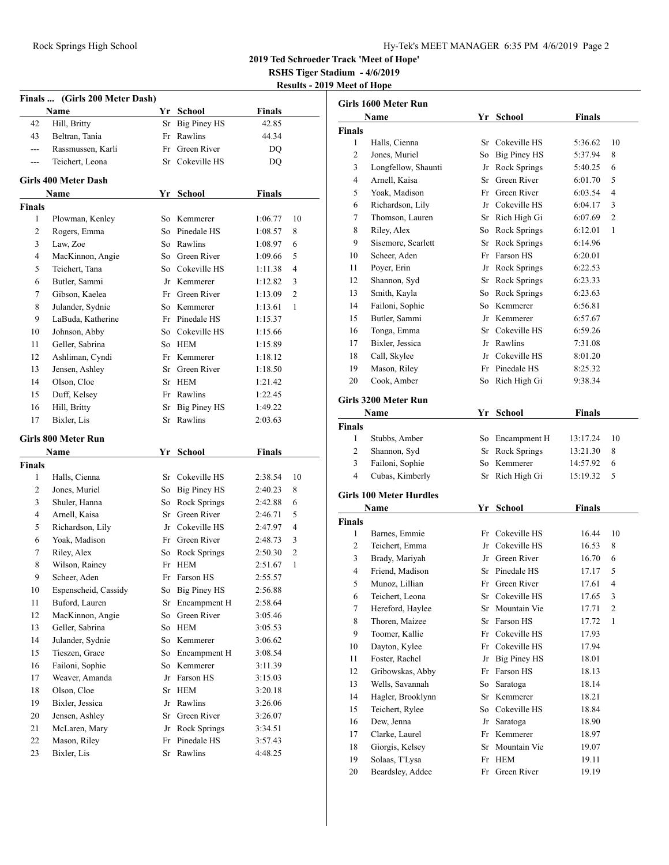**2019 Ted Schroeder Track 'Meet of Hope'**

**RSHS Tiger Stadium - 4/6/2019**

**Results - 2019 Meet of Hope**

|               | Finals  (Girls 200 Meter Dash) |          |                        |                    |    |
|---------------|--------------------------------|----------|------------------------|--------------------|----|
|               | Name                           |          | Yr School              | <b>Finals</b>      |    |
| 42            | Hill, Britty                   | Sr       | <b>Big Piney HS</b>    | 42.85              |    |
| 43            | Beltran, Tania                 | Fr       | Rawlins                | 44.34              |    |
| ---           | Rassmussen, Karli              | Fr       | Green River            | DQ                 |    |
| ---           | Teichert, Leona                | Sr       | Cokeville HS           | DQ                 |    |
|               |                                |          |                        |                    |    |
|               | Girls 400 Meter Dash           |          |                        |                    |    |
|               | Name                           |          | Yr School              | <b>Finals</b>      |    |
| <b>Finals</b> |                                |          |                        |                    |    |
| 1             | Plowman, Kenley                |          | So Kemmerer            | 1:06.77            | 10 |
| 2             | Rogers, Emma                   |          | So Pinedale HS         | 1:08.57            | 8  |
| 3             | Law, Zoe                       |          | So Rawlins             | 1:08.97            | 6  |
| 4             | MacKinnon, Angie               |          | So Green River         | 1:09.66            | 5  |
| 5             | Teichert, Tana                 |          | So Cokeville HS        | 1:11.38            | 4  |
| 6             | Butler, Sammi                  |          | Jr Kemmerer            | 1:12.82            | 3  |
| 7             | Gibson, Kaelea                 |          | Fr Green River         | 1:13.09            | 2  |
| 8             | Julander, Sydnie               |          | So Kemmerer            | 1:13.61            | 1  |
| 9             | LaBuda, Katherine              |          | Fr Pinedale HS         | 1:15.37            |    |
| 10            | Johnson, Abby                  |          | So Cokeville HS        | 1:15.66            |    |
| 11            | Geller, Sabrina                |          | So HEM                 | 1:15.89            |    |
| 12            | Ashliman, Cyndi                |          | Fr Kemmerer            | 1:18.12            |    |
| 13            | Jensen, Ashley                 |          | Sr Green River         | 1:18.50            |    |
| 14            | Olson, Cloe                    |          | Sr HEM                 | 1:21.42            |    |
| 15            | Duff, Kelsey                   |          | Fr Rawlins             | 1:22.45            |    |
| 16            | Hill, Britty                   | Sr       | <b>Big Piney HS</b>    | 1:49.22            |    |
| 17            | Bixler, Lis                    | Sr       | Rawlins                | 2:03.63            |    |
|               |                                |          |                        |                    |    |
|               | Girls 800 Meter Run<br>Name    |          |                        | <b>Finals</b>      |    |
| <b>Finals</b> |                                |          | Yr School              |                    |    |
| 1             | Halls, Cienna                  |          | Sr Cokeville HS        | 2:38.54            | 10 |
| 2             | Jones, Muriel                  | So       | <b>Big Piney HS</b>    | 2:40.23            | 8  |
| 3             | Shuler, Hanna                  | So       | Rock Springs           | 2:42.88            | 6  |
| 4             | Arnell, Kaisa                  | Sr       | Green River            | 2:46.71            | 5  |
| 5             | Richardson, Lily               |          | Jr Cokeville HS        | 2:47.97            | 4  |
| 6             | Yoak, Madison                  |          | Fr Green River         | 2:48.73            | 3  |
| 7             | Riley, Alex                    | So       | Rock Springs           | 2:50.30            | 2  |
| 8             | Wilson, Rainey                 | Fr       | <b>HEM</b>             | 2:51.67            | 1  |
| 9             | Scheer, Aden                   |          | Fr Farson HS           | 2:55.57            |    |
| 10            | Espenscheid, Cassidy           |          | So Big Piney HS        | 2:56.88            |    |
| 11            | Buford, Lauren                 | Sr       | Encampment H           | 2:58.64            |    |
| 12            | MacKinnon, Angie               | So       | Green River            | 3:05.46            |    |
| 13            | Geller, Sabrina                | So       | <b>HEM</b>             | 3:05.53            |    |
| 14            | Julander, Sydnie               | So       | Kemmerer               | 3:06.62            |    |
| 15            |                                |          | Encampment H           | 3:08.54            |    |
| 16            |                                |          |                        |                    |    |
|               | Tieszen, Grace                 | So       |                        |                    |    |
|               | Failoni, Sophie                | So       | Kemmerer               | 3:11.39            |    |
| 17            | Weaver, Amanda                 | Jr       | Farson HS              | 3:15.03            |    |
| 18            | Olson, Cloe                    | Sr       | <b>HEM</b>             | 3:20.18            |    |
| 19            | Bixler, Jessica                | Jr       | Rawlins                | 3:26.06            |    |
| 20            | Jensen, Ashley                 | Sr       | Green River            | 3:26.07            |    |
| 21            | McLaren, Mary                  | Jr       | Rock Springs           | 3:34.51            |    |
| 22<br>23      | Mason, Riley<br>Bixler, Lis    | Fr<br>Sr | Pinedale HS<br>Rawlins | 3:57.43<br>4:48.25 |    |

|                    | Girls 1600 Meter Run           |    |                     |                      |                |
|--------------------|--------------------------------|----|---------------------|----------------------|----------------|
|                    | Name                           |    | Yr School           | Finals               |                |
| Finals             |                                |    |                     |                      |                |
| 1                  | Halls, Cienna                  | Sr | Cokeville HS        | 5:36.62              | 10             |
| 2                  | Jones, Muriel                  | So | <b>Big Piney HS</b> | 5:37.94              | 8              |
| 3                  | Longfellow, Shaunti            |    | Jr Rock Springs     | 5:40.25              | 6              |
| $\overline{4}$     | Arnell, Kaisa                  |    | Sr Green River      | 6:01.70              | 5              |
| 5                  | Yoak, Madison                  |    | Fr Green River      | 6:03.54              | 4              |
| 6                  | Richardson, Lily               |    | Jr Cokeville HS     | 6:04.17              | 3              |
| 7                  | Thomson, Lauren                |    | Sr Rich High Gi     | 6:07.69              | $\overline{c}$ |
| 8                  | Riley, Alex                    | So | <b>Rock Springs</b> | 6:12.01              | 1              |
| 9                  | Sisemore, Scarlett             |    | Sr Rock Springs     | 6:14.96              |                |
| 10                 | Scheer, Aden                   |    | Fr Farson HS        | 6:20.01              |                |
| 11                 | Poyer, Erin                    |    | Jr Rock Springs     | 6:22.53              |                |
| 12                 | Shannon, Syd                   |    | Sr Rock Springs     | 6:23.33              |                |
| 13                 | Smith, Kayla                   |    | So Rock Springs     | 6:23.63              |                |
| 14                 | Failoni, Sophie                |    | So Kemmerer         | 6:56.81              |                |
| 15                 | Butler, Sammi                  |    | Jr Kemmerer         | 6:57.67              |                |
| 16                 | Tonga, Emma                    |    | Sr Cokeville HS     | 6:59.26              |                |
| 17                 | Bixler, Jessica                |    | Jr Rawlins          | 7:31.08              |                |
| 18                 | Call, Skylee                   |    | Jr Cokeville HS     | 8:01.20              |                |
| 19                 | Mason, Riley                   |    | Fr Pinedale HS      | 8:25.32              |                |
| 20                 | Cook, Amber                    |    | So Rich High Gi     | 9:38.34              |                |
|                    |                                |    |                     |                      |                |
|                    | Girls 3200 Meter Run           |    |                     |                      |                |
|                    | Name                           | Yr | <b>School</b>       | <b>Finals</b>        |                |
| <b>Finals</b><br>1 | Stubbs, Amber                  |    | So Encampment H     |                      | 10             |
| $\overline{c}$     | Shannon, Syd                   | Sr | Rock Springs        | 13:17.24<br>13:21.30 | 8              |
| 3                  | Failoni, Sophie                | So | Kemmerer            |                      | 6              |
| $\overline{4}$     | Cubas, Kimberly                | Sr | Rich High Gi        | 14:57.92<br>15:19.32 | 5              |
|                    |                                |    |                     |                      |                |
|                    | <b>Girls 100 Meter Hurdles</b> |    |                     |                      |                |
|                    | Name                           | Yr | School              | <b>Finals</b>        |                |
| <b>Finals</b>      |                                |    |                     |                      |                |
| 1                  | Barnes, Emmie                  |    | Fr Cokeville HS     | 16.44                | 10             |
| 2                  | Teichert, Emma                 | Jr | Cokeville HS        | 16.53                | 8              |
| 3                  | Brady, Mariyah                 |    | Jr Green River      | 16.70                | 6              |
| $\overline{4}$     | Friend, Madison                |    | Sr Pinedale HS      | 17.17                | 5              |
| 5                  | Munoz. Lillian                 |    | Fr Green River      | 17.61                | 4              |
| 6                  | Teichert, Leona                | Sr | Cokeville HS        | 17.65                | 3              |
| 7                  | Hereford, Haylee               | Sr | Mountain Vie        | 17.71                | $\overline{c}$ |
| 8                  | Thoren, Maizee                 | Sr | Farson HS           | 17.72                | 1              |
| 9                  | Toomer, Kallie                 | Fr | Cokeville HS        | 17.93                |                |
| 10                 | Dayton, Kylee                  | Fr | Cokeville HS        | 17.94                |                |
| 11                 | Foster, Rachel                 | Jr | Big Piney HS        | 18.01                |                |
| 12                 | Gribowskas, Abby               | Fr | Farson HS           | 18.13                |                |
| 13                 | Wells, Savannah                | So | Saratoga            | 18.14                |                |
| 14                 | Hagler, Brooklynn              | Sr | Kemmerer            | 18.21                |                |
| 15                 | Teichert, Rylee                | So | Cokeville HS        | 18.84                |                |
| 16                 | Dew, Jenna                     | Jr | Saratoga            | 18.90                |                |
| 17                 | Clarke, Laurel                 | Fr | Kemmerer            | 18.97                |                |
| 18                 | Giorgis, Kelsey                | Sr | Mountain Vie        | 19.07                |                |
| 19                 | Solaas, T'Lysa                 | Fr | <b>HEM</b>          | 19.11                |                |
| 20                 | Beardsley, Addee               | Fr | Green River         | 19.19                |                |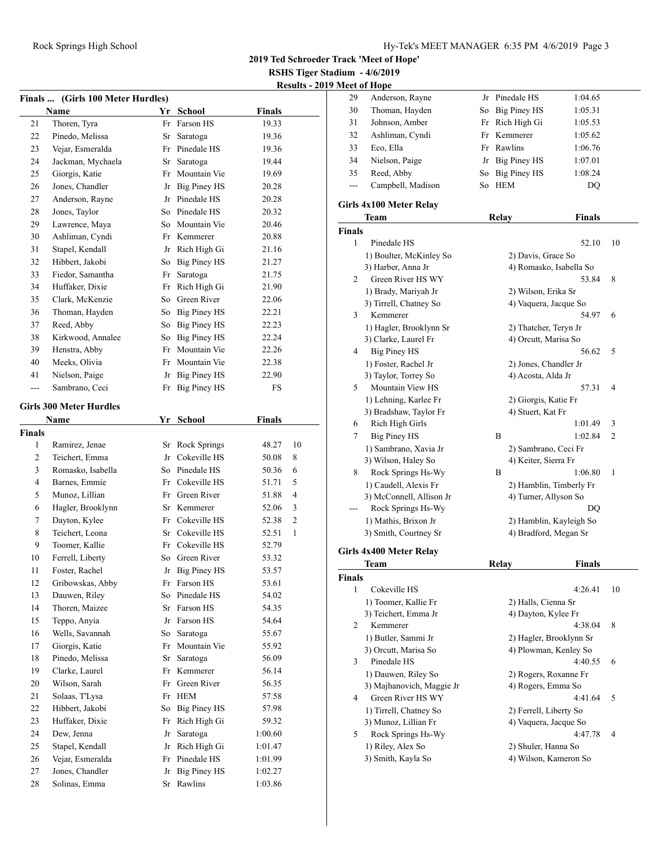**RSHS Tiger Stadium - 4/6/2019**

**Results - 2019 Meet of Hope**

| Finals  (Girls 100 Meter Hurdles) |                                |    |                     |               |    |  |  |
|-----------------------------------|--------------------------------|----|---------------------|---------------|----|--|--|
|                                   | Name                           |    | Yr School           | <b>Finals</b> |    |  |  |
| 21                                | Thoren, Tyra                   |    | Fr Farson HS        | 19.33         |    |  |  |
| 22                                | Pinedo, Melissa                | Sr | Saratoga            | 19.36         |    |  |  |
| 23                                | Vejar, Esmeralda               |    | Fr Pinedale HS      | 19.36         |    |  |  |
| 24                                | Jackman, Mychaela              |    | Sr Saratoga         | 19.44         |    |  |  |
| 25                                | Giorgis, Katie                 |    | Fr Mountain Vie     | 19.69         |    |  |  |
| 26                                | Jones, Chandler                |    | Jr Big Piney HS     | 20.28         |    |  |  |
| 27                                | Anderson, Rayne                |    | Jr Pinedale HS      | 20.28         |    |  |  |
| 28                                | Jones, Taylor                  |    | So Pinedale HS      | 20.32         |    |  |  |
| 29                                | Lawrence, Maya                 |    | So Mountain Vie     | 20.46         |    |  |  |
| 30                                | Ashliman, Cyndi                |    | Fr Kemmerer         | 20.88         |    |  |  |
| 31                                | Stapel, Kendall                |    | Jr Rich High Gi     | 21.16         |    |  |  |
| 32                                | Hibbert, Jakobi                | So | <b>Big Piney HS</b> | 21.27         |    |  |  |
| 33                                | Fiedor, Samantha               | Fr | Saratoga            | 21.75         |    |  |  |
| 34                                | Huffaker, Dixie                | Fr | Rich High Gi        | 21.90         |    |  |  |
| 35                                | Clark, McKenzie                | So | Green River         | 22.06         |    |  |  |
| 36                                | Thoman, Hayden                 |    | So Big Piney HS     | 22.21         |    |  |  |
| 37                                | Reed, Abby                     |    | So Big Piney HS     | 22.23         |    |  |  |
| 38                                | Kirkwood, Annalee              |    | So Big Piney HS     | 22.24         |    |  |  |
| 39                                | Henstra, Abby                  |    | Fr Mountain Vie     | 22.26         |    |  |  |
| 40                                | Meeks, Olivia                  |    | Fr Mountain Vie     | 22.38         |    |  |  |
| 41                                | Nielson, Paige                 |    | Jr Big Piney HS     | 22.90         |    |  |  |
| ---                               | Sambrano, Ceci                 | Fr | <b>Big Piney HS</b> | FS            |    |  |  |
|                                   |                                |    |                     |               |    |  |  |
|                                   | <b>Girls 300 Meter Hurdles</b> |    |                     |               |    |  |  |
|                                   | Name                           |    | Yr School           | <b>Finals</b> |    |  |  |
| <b>Finals</b>                     |                                |    |                     |               |    |  |  |
| 1                                 | Ramirez, Jenae                 | Sr | Rock Springs        | 48.27         | 10 |  |  |
| 2                                 | Teichert, Emma                 |    | Jr Cokeville HS     | 50.08         | 8  |  |  |
| 3                                 | Romasko, Isabella              |    | So Pinedale HS      | 50.36         | 6  |  |  |
| 4                                 | Barnes, Emmie                  |    | Fr Cokeville HS     | 51.71         | 5  |  |  |
| 5                                 | Munoz, Lillian                 |    | Fr Green River      | 51.88         | 4  |  |  |
| 6                                 | Hagler, Brooklynn              |    | Sr Kemmerer         | 52.06         | 3  |  |  |
| 7                                 | Dayton, Kylee                  |    | Fr Cokeville HS     | 52.38         | 2  |  |  |
| 8                                 | Teichert, Leona                |    | Sr Cokeville HS     | 52.51         | 1  |  |  |
| 9                                 | Toomer, Kallie                 |    | Fr Cokeville HS     | 52.79         |    |  |  |
| 10                                | Ferrell, Liberty               |    | So Green River      | 53.32         |    |  |  |
| 11                                | Foster, Rachel                 |    | Jr Big Piney HS     | 53.57         |    |  |  |
| 12                                | Gribowskas, Abby               | Fr | Farson HS           | 53.61         |    |  |  |
| 13                                | Dauwen, Riley                  | So | Pinedale HS         | 54.02         |    |  |  |
| 14                                | Thoren, Maizee                 | Sr | Farson HS           | 54.35         |    |  |  |
| 15                                | Teppo, Anyia                   | Jr | Farson HS           | 54.64         |    |  |  |
| 16                                | Wells, Savannah                | So | Saratoga            | 55.67         |    |  |  |
| 17                                | Giorgis, Katie                 | Fr | Mountain Vie        | 55.92         |    |  |  |
| 18                                | Pinedo, Melissa                | Sr | Saratoga            | 56.09         |    |  |  |
| 19                                | Clarke, Laurel                 | Fr | Kemmerer            | 56.14         |    |  |  |
| 20                                | Wilson, Sarah                  | Fr | Green River         | 56.35         |    |  |  |
| 21                                | Solaas, T'Lysa                 | Fr | <b>HEM</b>          | 57.58         |    |  |  |
| 22                                | Hibbert, Jakobi                | So | <b>Big Piney HS</b> | 57.98         |    |  |  |
| 23                                | Huffaker, Dixie                | Fr | Rich High Gi        | 59.32         |    |  |  |
| 24                                | Dew, Jenna                     | Jr | Saratoga            | 1:00.60       |    |  |  |
| 25                                | Stapel, Kendall                | Jr | Rich High Gi        | 1:01.47       |    |  |  |
| 26                                | Vejar, Esmeralda               | Fr | Pinedale HS         | 1:01.99       |    |  |  |
| 27                                | Jones, Chandler                | Jr | <b>Big Piney HS</b> | 1:02.27       |    |  |  |
| 28                                | Solinas, Emma                  | Sr | Rawlins             | 1:03.86       |    |  |  |

|     | ICCL VI 11VPC     |                 |         |
|-----|-------------------|-----------------|---------|
| 29  | Anderson, Rayne   | Jr Pinedale HS  | 1:04.65 |
| 30  | Thoman, Hayden    | So Big Piney HS | 1:05.31 |
| 31  | Johnson, Amber    | Fr Rich High Gi | 1:05.53 |
| 32  | Ashliman, Cyndi   | Fr Kemmerer     | 1:05.62 |
| 33  | Eco, Ella         | Fr Rawlins      | 1:06.76 |
| 34  | Nielson, Paige    | Jr Big Piney HS | 1:07.01 |
| 35  | Reed, Abby        | So Big Piney HS | 1:08.24 |
| --- | Campbell, Madison | So HEM          | DO      |
|     |                   |                 |         |

### **Girls 4x100 Meter Relay**

|                | Team                                           | Relay | Finals                           |    |
|----------------|------------------------------------------------|-------|----------------------------------|----|
| <b>Finals</b>  |                                                |       |                                  |    |
| 1              | Pinedale HS                                    |       | 52.10                            | 10 |
|                | 1) Boulter, McKinley So                        |       | 2) Davis, Grace So               |    |
|                | 3) Harber, Anna Jr                             |       | 4) Romasko, Isabella So          |    |
| 2              | Green River HS WY                              |       | 53.84                            | 8  |
|                | 1) Brady, Mariyah Jr                           |       | 2) Wilson, Erika Sr              |    |
|                | 3) Tirrell, Chatney So                         |       | 4) Vaquera, Jacque So            |    |
| 3              | Kemmerer                                       |       | 54.97                            | 6  |
|                | 1) Hagler, Brooklynn Sr                        |       | 2) Thatcher, Teryn Jr            |    |
|                | 3) Clarke, Laurel Fr                           |       | 4) Orcutt, Marisa So             |    |
| 4              | <b>Big Piney HS</b>                            |       | 56.62                            | 5  |
|                | 1) Foster, Rachel Jr                           |       | 2) Jones, Chandler Jr            |    |
|                | 3) Taylor, Torrey So                           |       | 4) Acosta, Alda Jr               |    |
| 5              | Mountain View HS                               |       | 57.31                            | 4  |
|                | 1) Lehning, Karlee Fr                          |       | 2) Giorgis, Katie Fr             |    |
|                | 3) Bradshaw, Taylor Fr                         |       | 4) Stuert, Kat Fr                |    |
| 6              | Rich High Girls                                |       | 1:01.49                          | 3  |
| 7              | <b>Big Piney HS</b>                            | B     | 1:02.84                          | 2  |
|                | 1) Sambrano, Xavia Jr                          |       | 2) Sambrano, Ceci Fr             |    |
|                | 3) Wilson, Haley So                            |       | 4) Keiter, Sierra Fr             |    |
| 8              | Rock Springs Hs-Wy                             | B     | 1:06.80                          | 1  |
|                | 1) Caudell, Alexis Fr                          |       | 2) Hamblin, Timberly Fr          |    |
|                | 3) McConnell, Allison Jr                       |       | 4) Turner, Allyson So            |    |
| $\overline{a}$ | Rock Springs Hs-Wy                             |       | D <sub>O</sub>                   |    |
|                | 1) Mathis, Brixon Jr                           |       | 2) Hamblin, Kayleigh So          |    |
|                | 3) Smith, Courtney Sr                          |       | 4) Bradford, Megan Sr            |    |
|                | Girls 4x400 Meter Relay                        |       |                                  |    |
|                |                                                |       |                                  |    |
|                | Team                                           | Relay | <b>Finals</b>                    |    |
| <b>Finals</b>  |                                                |       |                                  |    |
| 1              | Cokeville HS                                   |       | 4:26.41                          | 10 |
|                | 1) Toomer, Kallie Fr                           |       | 2) Halls, Cienna Sr              |    |
|                | 3) Teichert, Emma Jr                           |       | 4) Dayton, Kylee Fr              |    |
| 2              | Kemmerer                                       |       | 4:38.04                          | 8  |
|                | 1) Butler, Sammi Jr                            |       | 2) Hagler, Brooklynn Sr          |    |
|                | 3) Orcutt, Marisa So                           |       | 4) Plowman, Kenley So            |    |
| 3              | Pinedale HS                                    |       | 4:40.55                          | 6  |
|                | 1) Dauwen, Riley So                            |       | 2) Rogers, Roxanne Fr            |    |
| $\overline{4}$ | 3) Majhanovich, Maggie Jr<br>Green River HS WY |       | 4) Rogers, Emma So<br>4:41.64    |    |
|                |                                                |       |                                  | 5  |
|                | 1) Tirrell, Chatney So                         |       | 2) Ferrell, Liberty So           |    |
| 5              | 3) Munoz, Lillian Fr                           |       | 4) Vaquera, Jacque So<br>4:47.78 | 4  |
|                | Rock Springs Hs-Wy                             |       |                                  |    |
|                | 1) Riley, Alex So                              |       | 2) Shuler, Hanna So              |    |
|                | 3) Smith, Kayla So                             |       | 4) Wilson, Kameron So            |    |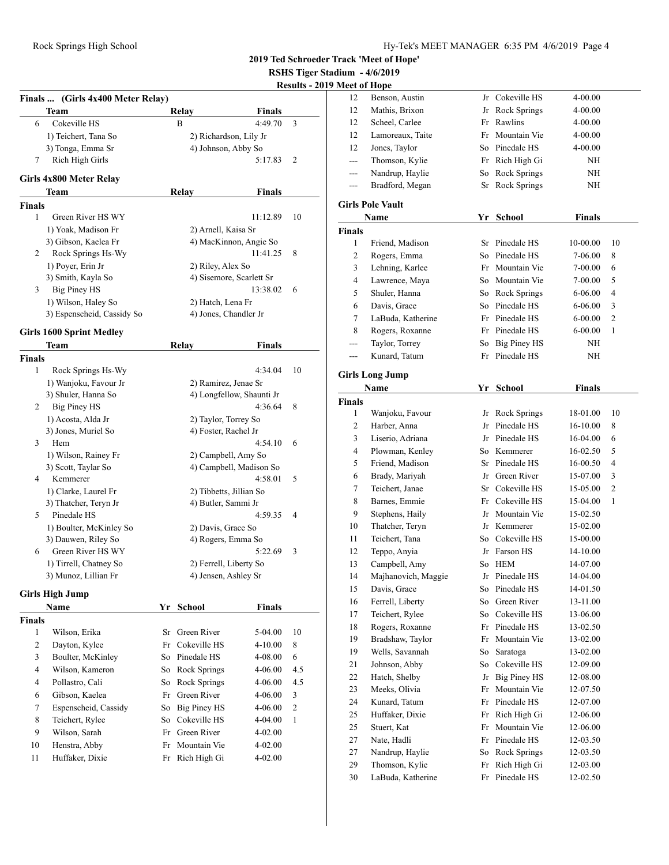**RSHS Tiger Stadium - 4/6/2019**

| <b>Results - 2019 Meet of Hope</b> |  |  |  |
|------------------------------------|--|--|--|
|                                    |  |  |  |

|                  | Finals  (Girls 4x400 Meter Relay) |    |                           |               | IXESUILS - 40  |
|------------------|-----------------------------------|----|---------------------------|---------------|----------------|
|                  | Team                              |    | Relay                     | <b>Finals</b> |                |
| 6                | Cokeville HS                      |    | B                         | 4:49.70       | 3              |
|                  | 1) Teichert, Tana So              |    | 2) Richardson, Lily Jr    |               |                |
|                  | 3) Tonga, Emma Sr                 |    | 4) Johnson, Abby So       |               |                |
| 7                | Rich High Girls                   |    |                           | 5:17.83       | 2              |
|                  | Girls 4x800 Meter Relay           |    |                           |               |                |
|                  | Team                              |    | Relay                     | Finals        |                |
| Finals           |                                   |    |                           |               |                |
| 1                | Green River HS WY                 |    |                           | 11:12.89      | 10             |
|                  | 1) Yoak, Madison Fr               |    | 2) Arnell, Kaisa Sr       |               |                |
|                  | 3) Gibson, Kaelea Fr              |    | 4) MacKinnon, Angie So    |               |                |
| 2                | Rock Springs Hs-Wy                |    |                           | 11:41.25      | 8              |
|                  | 1) Poyer, Erin Jr                 |    | 2) Riley, Alex So         |               |                |
|                  | 3) Smith, Kayla So                |    | 4) Sisemore, Scarlett Sr  |               |                |
| 3                | <b>Big Piney HS</b>               |    |                           | 13:38.02      | 6              |
|                  | 1) Wilson, Haley So               |    | 2) Hatch, Lena Fr         |               |                |
|                  | 3) Espenscheid, Cassidy So        |    | 4) Jones, Chandler Jr     |               |                |
|                  | Girls 1600 Sprint Medley          |    |                           |               |                |
|                  | Team                              |    | Relay                     | <b>Finals</b> |                |
| Finals           |                                   |    |                           |               |                |
| 1                | Rock Springs Hs-Wy                |    |                           | 4:34.04       | 10             |
|                  | 1) Wanjoku, Favour Jr             |    | 2) Ramirez, Jenae Sr      |               |                |
|                  | 3) Shuler, Hanna So               |    | 4) Longfellow, Shaunti Jr |               |                |
| 2                | Big Piney HS                      |    |                           | 4:36.64       | 8              |
|                  | 1) Acosta, Alda Jr                |    | 2) Taylor, Torrey So      |               |                |
|                  | 3) Jones, Muriel So               |    | 4) Foster, Rachel Jr      |               |                |
| 3                | Hem                               |    |                           | 4:54.10       | 6              |
|                  | 1) Wilson, Rainey Fr              |    | 2) Campbell, Amy So       |               |                |
|                  | 3) Scott, Taylar So               |    | 4) Campbell, Madison So   |               |                |
| 4                | Kemmerer                          |    |                           | 4:58.01       | 5              |
|                  | 1) Clarke, Laurel Fr              |    | 2) Tibbetts, Jillian So   |               |                |
|                  | 3) Thatcher, Teryn Jr             |    | 4) Butler, Sammi Jr       |               |                |
| 5                | Pinedale HS                       |    |                           | 4:59.35       | 4              |
|                  | 1) Boulter, McKinley So           |    | 2) Davis, Grace So        |               |                |
|                  | 3) Dauwen, Riley So               |    | 4) Rogers, Emma So        |               |                |
| 6                | Green River HS WY                 |    |                           | 5:22.69       | 3              |
|                  | 1) Tirrell, Chatney So            |    | 2) Ferrell, Liberty So    |               |                |
|                  | 3) Munoz, Lillian Fr              |    | 4) Jensen, Ashley Sr      |               |                |
|                  | <b>Girls High Jump</b>            |    |                           |               |                |
|                  | Name                              | Yr | <b>School</b>             | <b>Finals</b> |                |
| Finals           |                                   |    |                           |               |                |
| 1                | Wilson, Erika                     | Sr | Green River               | $5-04.00$     | 10             |
| $\boldsymbol{2}$ | Dayton, Kylee                     | Fr | Cokeville HS              | 4-10.00       | 8              |
| 3                | Boulter, McKinley                 | So | Pinedale HS               | 4-08.00       | 6              |
| $\overline{4}$   | Wilson, Kameron                   | So | Rock Springs              | 4-06.00       | 4.5            |
| 4                | Pollastro, Cali                   | So | <b>Rock Springs</b>       | 4-06.00       | 4.5            |
| 6                | Gibson, Kaelea                    | Fr | Green River               | 4-06.00       | 3              |
| $\tau$           | Espenscheid, Cassidy              |    | So Big Piney HS           | 4-06.00       | $\mathfrak{2}$ |
| 8                | Teichert, Rylee                   |    | So Cokeville HS           | 4-04.00       | 1              |
|                  | Wilson, Sarah                     |    | Fr Green River            | 4-02.00       |                |
| 9                |                                   |    |                           |               |                |
| 10               | Henstra, Abby                     | Fr | Mountain Vie              | 4-02.00       |                |

| 12             | Benson, Austin          | Jr | Cokeville HS        | 4-00.00       |    |
|----------------|-------------------------|----|---------------------|---------------|----|
| 12             | Mathis, Brixon          | Jr | <b>Rock Springs</b> | 4-00.00       |    |
| 12             | Scheel, Carlee          | Fr | Rawlins             | 4-00.00       |    |
| 12             | Lamoreaux, Taite        | Fr | Mountain Vie        | 4-00.00       |    |
| 12             | Jones, Taylor           |    | So Pinedale HS      | 4-00.00       |    |
| ---            | Thomson, Kylie          |    | Fr Rich High Gi     | NH            |    |
| ---            | Nandrup, Haylie         | So | Rock Springs        | NH            |    |
| ---            | Bradford, Megan         | Sr | Rock Springs        | NH            |    |
|                |                         |    |                     |               |    |
|                | <b>Girls Pole Vault</b> |    |                     |               |    |
|                | Name                    |    | Yr School           | <b>Finals</b> |    |
| <b>Finals</b>  |                         |    |                     |               |    |
| 1              | Friend, Madison         | Sr | Pinedale HS         | 10-00.00      | 10 |
| $\mathfrak{2}$ | Rogers, Emma            | So | Pinedale HS         | 7-06.00       | 8  |
| 3              | Lehning, Karlee         | Fr | Mountain Vie        | 7-00.00       | 6  |
| 4              | Lawrence, Maya          | So | Mountain Vie        | 7-00.00       | 5  |
| 5              | Shuler, Hanna           | So | Rock Springs        | 6-06.00       | 4  |
| 6              | Davis, Grace            | So | Pinedale HS         | 6-06.00       | 3  |
| 7              | LaBuda, Katherine       |    | Fr Pinedale HS      | $6 - 00.00$   | 2  |
| 8              | Rogers, Roxanne         |    | Fr Pinedale HS      | $6 - 00.00$   | 1  |
| ---            | Taylor, Torrey          | So | Big Piney HS        | NH            |    |
| ---            | Kunard, Tatum           |    | Fr Pinedale HS      | NH            |    |
|                | <b>Girls Long Jump</b>  |    |                     |               |    |
|                | Name                    |    | Yr School           | <b>Finals</b> |    |
| <b>Finals</b>  |                         |    |                     |               |    |
| 1              | Wanjoku, Favour         | Jr | Rock Springs        | 18-01.00      | 10 |
| $\mathfrak{2}$ | Harber, Anna            | Jr | Pinedale HS         | 16-10.00      | 8  |
| 3              | Liserio, Adriana        | Jr | Pinedale HS         | 16-04.00      | 6  |
| 4              | Plowman, Kenley         | So | Kemmerer            | 16-02.50      | 5  |
| 5              | Friend, Madison         | Sr | Pinedale HS         | 16-00.50      | 4  |
| 6              | Brady, Mariyah          | Jr | Green River         | 15-07.00      | 3  |
| 7              | Teichert, Janae         | Sr | Cokeville HS        | 15-05.00      | 2  |
| 8              | Barnes, Emmie           | Fr | Cokeville HS        | 15-04.00      | 1  |
| 9              | Stephens, Haily         | Jr | Mountain Vie        | 15-02.50      |    |
| 10             | Thatcher, Teryn         |    | Jr Kemmerer         | 15-02.00      |    |
| 11             | Teichert, Tana          | So | Cokeville HS        | 15-00.00      |    |
| 12             | Teppo, Anyia            | Jr | Farson HS           | 14-10.00      |    |
| 13             | Campbell, Amy           | So | <b>HEM</b>          | 14-07.00      |    |
| 14             | Majhanovich, Maggie     |    | Jr Pinedale HS      | 14-04.00      |    |
| 15             | Davis, Grace            | So | Pinedale HS         | 14-01.50      |    |
| 16             | Ferrell, Liberty        | So | Green River         | 13-11.00      |    |
| 17             | Teichert, Rylee         | So | Cokeville HS        | 13-06.00      |    |
| 18             | Rogers, Roxanne         | Fr | Pinedale HS         | 13-02.50      |    |
| 19             | Bradshaw, Taylor        | Fr | Mountain Vie        | 13-02.00      |    |
| 19             | Wells, Savannah         | So | Saratoga            | 13-02.00      |    |
| 21             | Johnson, Abby           | So | Cokeville HS        | 12-09.00      |    |
| 22             | Hatch, Shelby           | Jr | Big Piney HS        | 12-08.00      |    |
| 23             | Meeks, Olivia           | Fr | Mountain Vie        | 12-07.50      |    |
| 24             | Kunard, Tatum           |    | Pinedale HS         | 12-07.00      |    |
|                | Huffaker, Dixie         | Fr | Rich High Gi        |               |    |
| 25             |                         | Fr |                     | 12-06.00      |    |
| 25             | Stuert, Kat             | Fr | Mountain Vie        | 12-06.00      |    |
| 27             | Nate, Hadli             | Fr | Pinedale HS         | 12-03.50      |    |
| 27             | Nandrup, Haylie         | So | Rock Springs        | 12-03.50      |    |
| 29             | Thomson, Kylie          | Fr | Rich High Gi        | 12-03.00      |    |
| 30             | LaBuda, Katherine       | Fr | Pinedale HS         | 12-02.50      |    |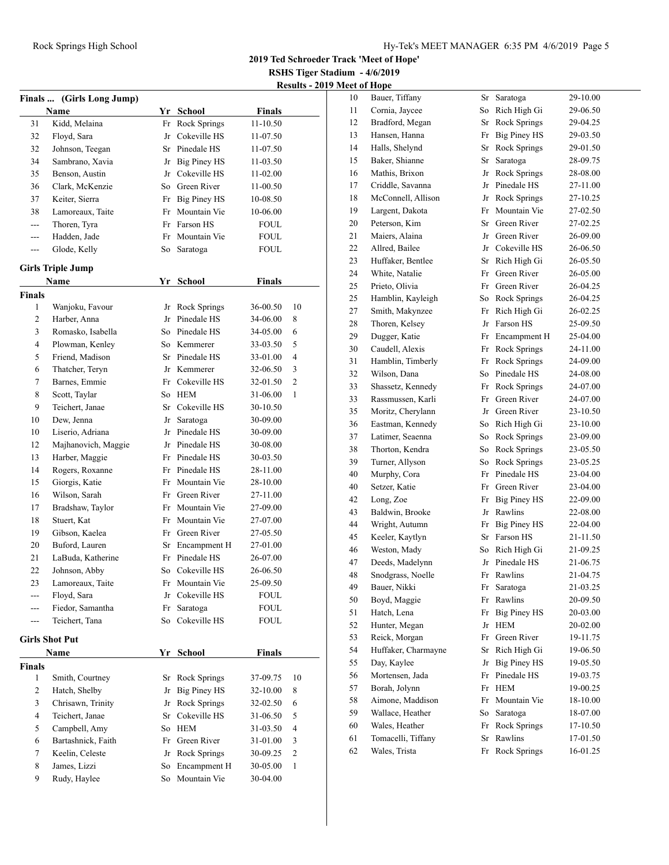**2019 Ted Schroeder Track 'Meet of Hope'**

**RSHS Tiger Stadium - 4/6/2019**

| <b>Results - 2019 Meet of Hope</b> |  |
|------------------------------------|--|

|               | Finals  (Girls Long Jump)       |    |                                   |                      |                |
|---------------|---------------------------------|----|-----------------------------------|----------------------|----------------|
|               | Name                            |    | Yr School                         | Finals               |                |
| 31            | Kidd, Melaina                   | Fr | Rock Springs                      | $11 - 10.50$         |                |
| 32            | Floyd, Sara                     | Jr | Cokeville HS                      | 11-07.50             |                |
| 32            | Johnson, Teegan                 |    | Sr Pinedale HS                    | 11-07.50             |                |
| 34            | Sambrano, Xavia                 |    | Jr Big Piney HS                   | 11-03.50             |                |
| 35            | Benson, Austin                  |    | Jr Cokeville HS                   | 11-02.00             |                |
| 36            | Clark, McKenzie                 |    | So Green River                    | 11-00.50             |                |
| 37            | Keiter, Sierra                  |    | Fr Big Piney HS                   | 10-08.50             |                |
| 38            | Lamoreaux, Taite                |    | Fr Mountain Vie                   | 10-06.00             |                |
| ---           | Thoren, Tyra                    |    | Fr Farson HS                      | FOUL                 |                |
| ---           | Hadden, Jade                    | Fr | Mountain Vie                      | FOUL                 |                |
| ---           | Glode, Kelly                    | So | Saratoga                          | FOUL                 |                |
|               |                                 |    |                                   |                      |                |
|               | <b>Girls Triple Jump</b>        |    |                                   |                      |                |
|               | Name                            | Yr | <b>School</b>                     | Finals               |                |
| Finals<br>1   |                                 |    |                                   |                      | 10             |
| 2             | Wanjoku, Favour<br>Harber, Anna |    | Jr Rock Springs<br>Jr Pinedale HS | 36-00.50<br>34-06.00 | 8              |
| 3             | Romasko, Isabella               |    | So Pinedale HS                    |                      |                |
|               |                                 |    |                                   | 34-05.00             | 6              |
| 4             | Plowman, Kenley                 |    | So Kemmerer                       | 33-03.50             | 5              |
| 5             | Friend, Madison                 |    | Sr Pinedale HS                    | 33-01.00             | 4              |
| 6             | Thatcher, Teryn                 |    | Jr Kemmerer                       | 32-06.50             | 3              |
| 7             | Barnes, Emmie                   |    | Fr Cokeville HS                   | 32-01.50             | 2              |
| 8             | Scott, Taylar                   |    | So HEM                            | 31-06.00             | 1              |
| 9             | Teichert, Janae                 |    | Sr Cokeville HS                   | 30-10.50             |                |
| 10            | Dew, Jenna                      | Jr | Saratoga                          | 30-09.00             |                |
| 10            | Liserio, Adriana                | Jr | Pinedale HS                       | 30-09.00             |                |
| 12            | Majhanovich, Maggie             |    | Jr Pinedale HS                    | 30-08.00             |                |
| 13            | Harber, Maggie                  |    | Fr Pinedale HS                    | 30-03.50             |                |
| 14            | Rogers, Roxanne                 |    | Fr Pinedale HS                    | 28-11.00             |                |
| 15            | Giorgis, Katie                  |    | Fr Mountain Vie                   | 28-10.00             |                |
| 16            | Wilson, Sarah                   |    | Fr Green River                    | 27-11.00             |                |
| 17            | Bradshaw, Taylor                |    | Fr Mountain Vie                   | 27-09.00             |                |
| 18            | Stuert, Kat                     |    | Fr Mountain Vie                   | 27-07.00             |                |
| 19            | Gibson, Kaelea                  |    | Fr Green River                    | 27-05.50             |                |
| 20            | Buford, Lauren                  |    | Sr Encampment H                   | 27-01.00             |                |
| 21            | LaBuda, Katherine               | Fr | Pinedale HS                       | 26-07.00             |                |
| 22            | Johnson, Abby                   |    | So Cokeville HS                   | 26-06.50             |                |
| 23            | Lamoreaux, Taite                | Fr | Mountain Vie                      | 25-09.50             |                |
| ---           | Floyd, Sara                     | Jr | Cokeville HS                      | <b>FOUL</b>          |                |
| ---           | Fiedor, Samantha                | Fr | Saratoga                          | <b>FOUL</b>          |                |
| ---           | Teichert, Tana                  | So | Cokeville HS                      | <b>FOUL</b>          |                |
|               | <b>Girls Shot Put</b>           |    |                                   |                      |                |
|               | Name                            | Yr | <b>School</b>                     | <b>Finals</b>        |                |
| <b>Finals</b> |                                 |    |                                   |                      |                |
| $\mathbf{1}$  | Smith, Courtney                 | Sr | Rock Springs                      | 37-09.75             | 10             |
| 2             | Hatch, Shelby                   | Jr | <b>Big Piney HS</b>               | 32-10.00             | 8              |
| 3             | Chrisawn, Trinity               | Jr | Rock Springs                      | 32-02.50             | 6              |
| 4             | Teichert, Janae                 | Sr | Cokeville HS                      | 31-06.50             | 5              |
| 5             | Campbell, Amy                   | So | <b>HEM</b>                        | 31-03.50             | 4              |
| 6             | Bartashnick, Faith              | Fr | Green River                       | 31-01.00             | 3              |
| $\tau$        | Keelin, Celeste                 | Jr | Rock Springs                      | 30-09.25             | $\overline{2}$ |
| 8             | James, Lizzi                    | So | Encampment H                      | 30-05.00             | $\mathbf{1}$   |
| 9             | Rudy, Haylee                    | So | Mountain Vie                      | 30-04.00             |                |
|               |                                 |    |                                   |                      |                |

| 10 | Bauer, Tiffany      | Sr | Saratoga            | 29-10.00 |
|----|---------------------|----|---------------------|----------|
| 11 | Cornia, Jaycee      | So | Rich High Gi        | 29-06.50 |
| 12 | Bradford, Megan     | Sr | Rock Springs        | 29-04.25 |
| 13 | Hansen, Hanna       | Fr | <b>Big Piney HS</b> | 29-03.50 |
| 14 | Halls, Shelynd      | Sr | Rock Springs        | 29-01.50 |
| 15 | Baker, Shianne      | Sr | Saratoga            | 28-09.75 |
| 16 | Mathis, Brixon      | Jr | <b>Rock Springs</b> | 28-08.00 |
| 17 | Criddle, Savanna    | Jr | Pinedale HS         | 27-11.00 |
| 18 | McConnell, Allison  | Jr | Rock Springs        | 27-10.25 |
| 19 | Largent, Dakota     | Fr | Mountain Vie        | 27-02.50 |
| 20 | Peterson, Kim       | Sr | Green River         | 27-02.25 |
| 21 | Maiers, Alaina      | Jr | Green River         | 26-09.00 |
| 22 | Allred, Bailee      | Jr | Cokeville HS        | 26-06.50 |
| 23 | Huffaker, Bentlee   | Sr | Rich High Gi        | 26-05.50 |
| 24 | White, Natalie      | Fr | Green River         | 26-05.00 |
| 25 | Prieto, Olivia      | Fr | Green River         | 26-04.25 |
| 25 | Hamblin, Kayleigh   | So | Rock Springs        | 26-04.25 |
| 27 | Smith, Makynzee     | Fr | Rich High Gi        | 26-02.25 |
| 28 | Thoren, Kelsey      | Jr | Farson HS           | 25-09.50 |
| 29 | Dugger, Katie       | Fr | Encampment H        | 25-04.00 |
| 30 | Caudell, Alexis     | Fr | Rock Springs        | 24-11.00 |
| 31 | Hamblin, Timberly   | Fr | Rock Springs        | 24-09.00 |
| 32 | Wilson, Dana        | So | Pinedale HS         | 24-08.00 |
| 33 | Shassetz, Kennedy   | Fr | Rock Springs        | 24-07.00 |
| 33 | Rassmussen, Karli   | Fr | Green River         | 24-07.00 |
| 35 | Moritz, Cherylann   | Jr | Green River         | 23-10.50 |
| 36 | Eastman, Kennedy    | So | Rich High Gi        | 23-10.00 |
| 37 | Latimer, Seaenna    | So | Rock Springs        | 23-09.00 |
| 38 | Thorton, Kendra     | So | Rock Springs        | 23-05.50 |
| 39 | Turner, Allyson     | So | Rock Springs        | 23-05.25 |
| 40 | Murphy, Cora        | Fr | Pinedale HS         | 23-04.00 |
| 40 | Setzer, Katie       | Fr | Green River         | 23-04.00 |
| 42 | Long, Zoe           | Fr | <b>Big Piney HS</b> | 22-09.00 |
| 43 | Baldwin, Brooke     | Jr | Rawlins             | 22-08.00 |
| 44 | Wright, Autumn      | Fr | <b>Big Piney HS</b> | 22-04.00 |
| 45 | Keeler, Kaytlyn     | Sr | Farson HS           | 21-11.50 |
| 46 | Weston, Mady        | So | Rich High Gi        | 21-09.25 |
| 47 | Deeds, Madelynn     | Jr | Pinedale HS         | 21-06.75 |
| 48 | Snodgrass, Noelle   | Fr | Rawlins             | 21-04.75 |
| 49 | Bauer, Nikki        | Fr | Saratoga            | 21-03.25 |
| 50 | Boyd, Maggie        | Fr | Rawlins             | 20-09.50 |
| 51 | Hatch, Lena         | Fr | <b>Big Piney HS</b> | 20-03.00 |
| 52 | Hunter, Megan       | Jr | <b>HEM</b>          | 20-02.00 |
| 53 | Reick, Morgan       | Fr | Green River         | 19-11.75 |
| 54 | Huffaker, Charmayne | Sr | Rich High Gi        | 19-06.50 |
| 55 | Day, Kaylee         | Jr | Big Piney HS        | 19-05.50 |
| 56 | Mortensen, Jada     | Fr | Pinedale HS         | 19-03.75 |
| 57 | Borah, Jolynn       | Fr | <b>HEM</b>          | 19-00.25 |
| 58 | Aimone, Maddison    | Fr | Mountain Vie        | 18-10.00 |
| 59 | Wallace, Heather    | So | Saratoga            | 18-07.00 |
| 60 | Wales, Heather      | Fr | Rock Springs        | 17-10.50 |
| 61 | Tomacelli, Tiffany  | Sr | Rawlins             | 17-01.50 |
| 62 | Wales, Trista       | Fr | Rock Springs        | 16-01.25 |
|    |                     |    |                     |          |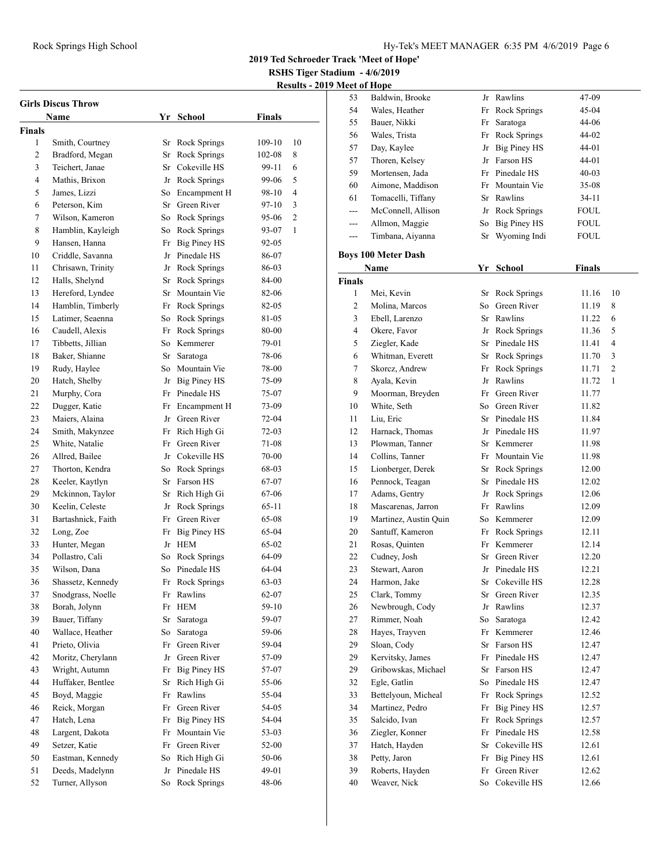**RSHS Tiger Stadium - 4/6/2019**

**Results - 2019 Meet of Hope**

|        | <b>Girls Discus Throw</b> |    |                     |               |                |
|--------|---------------------------|----|---------------------|---------------|----------------|
|        | Name                      |    | Yr School           | <b>Finals</b> |                |
| Finals |                           |    |                     |               |                |
| 1      | Smith, Courtney           | Sr | Rock Springs        | 109-10        | 10             |
| 2      | Bradford, Megan           | Sr | Rock Springs        | 102-08        | 8              |
| 3      | Teichert, Janae           | Sr | Cokeville HS        | 99-11         | 6              |
| 4      | Mathis, Brixon            |    | Jr Rock Springs     | 99-06         | 5              |
| 5      | James, Lizzi              | So | Encampment H        | 98-10         | 4              |
| 6      | Peterson, Kim             |    | Sr Green River      | 97-10         | 3              |
| 7      | Wilson, Kameron           |    | So Rock Springs     | 95-06         | $\overline{2}$ |
| 8      | Hamblin, Kayleigh         | So | Rock Springs        | 93-07         | 1              |
| 9      | Hansen, Hanna             | Fr | Big Piney HS        | 92-05         |                |
| 10     | Criddle, Savanna          |    | Jr Pinedale HS      | 86-07         |                |
| 11     | Chrisawn, Trinity         |    | Jr Rock Springs     | 86-03         |                |
| 12     | Halls, Shelynd            | Sr | Rock Springs        | 84-00         |                |
| 13     | Hereford, Lyndee          | Sr | Mountain Vie        | 82-06         |                |
| 14     | Hamblin, Timberly         |    | Fr Rock Springs     | 82-05         |                |
| 15     | Latimer, Seaenna          | So | Rock Springs        | 81-05         |                |
| 16     | Caudell, Alexis           | Fr | <b>Rock Springs</b> | 80-00         |                |
| 17     | Tibbetts, Jillian         | So | Kemmerer            | 79-01         |                |
| 18     | Baker, Shianne            | Sr | Saratoga            | 78-06         |                |
| 19     | Rudy, Haylee              |    | So Mountain Vie     | 78-00         |                |
| 20     | Hatch, Shelby             |    | Jr Big Piney HS     | 75-09         |                |
| 21     | Murphy, Cora              |    | Fr Pinedale HS      | 75-07         |                |
| 22     | Dugger, Katie             | Fr | Encampment H        | 73-09         |                |
| 23     | Maiers, Alaina            | Jr | Green River         | 72-04         |                |
| 24     | Smith, Makynzee           | Fr | Rich High Gi        | 72-03         |                |
| 25     | White, Natalie            | Fr | Green River         | 71-08         |                |
| 26     | Allred, Bailee            | Jr | Cokeville HS        | 70-00         |                |
| 27     | Thorton, Kendra           | So | Rock Springs        | 68-03         |                |
| 28     | Keeler, Kaytlyn           |    | Sr Farson HS        | 67-07         |                |
| 29     | Mckinnon, Taylor          | Sr | Rich High Gi        | 67-06         |                |
| 30     | Keelin, Celeste           |    | Jr Rock Springs     | 65-11         |                |
| 31     | Bartashnick, Faith        | Fr | Green River         | 65-08         |                |
| 32     | Long, Zoe                 | Fr | Big Piney HS        | 65-04         |                |
| 33     | Hunter, Megan             |    | Jr HEM              | 65-02         |                |
| 34     | Pollastro, Cali           | So | Rock Springs        | 64-09         |                |
| 35     | Wilson, Dana              | So | Pinedale HS         | 64-04         |                |
| 36     | Shassetz, Kennedy         | Fr | Rock Springs        | 63-03         |                |
| 37     | Snodgrass, Noelle         | Fr | Rawlins             | $62 - 07$     |                |
| 38     | Borah, Jolynn             | Fr | <b>HEM</b>          | 59-10         |                |
| 39     | Bauer, Tiffany            | Sr | Saratoga            | 59-07         |                |
| 40     | Wallace, Heather          | So | Saratoga            | 59-06         |                |
| 41     | Prieto, Olivia            | Fr | Green River         | 59-04         |                |
| 42     | Moritz, Cherylann         | Jr | Green River         | 57-09         |                |
| 43     | Wright, Autumn            | Fr | <b>Big Piney HS</b> | 57-07         |                |
| 44     | Huffaker, Bentlee         | Sr | Rich High Gi        | 55-06         |                |
| 45     | Boyd, Maggie              | Fr | Rawlins             | 55-04         |                |
| 46     | Reick, Morgan             | Fr | Green River         | 54-05         |                |
| 47     | Hatch, Lena               | Fr | <b>Big Piney HS</b> | 54-04         |                |
| 48     | Largent, Dakota           | Fr | Mountain Vie        | 53-03         |                |
| 49     | Setzer, Katie             | Fr | Green River         | 52-00         |                |
| 50     | Eastman, Kennedy          | So | Rich High Gi        | 50-06         |                |
| 51     | Deeds, Madelynn           | Jr | Pinedale HS         | 49-01         |                |
| 52     | Turner, Allyson           | So | Rock Springs        | 48-06         |                |
|        |                           |    |                     |               |                |

| 53            | Baldwin, Brooke            | Jr | Rawlins             | 47-09         |                |
|---------------|----------------------------|----|---------------------|---------------|----------------|
| 54            | Wales, Heather             | Fr | <b>Rock Springs</b> | 45-04         |                |
| 55            | Bauer, Nikki               | Fr | Saratoga            | 44-06         |                |
| 56            | Wales, Trista              | Fr | <b>Rock Springs</b> | 44-02         |                |
| 57            | Day, Kaylee                | Jr | <b>Big Piney HS</b> | 44-01         |                |
| 57            | Thoren, Kelsey             | Jr | Farson HS           | 44-01         |                |
| 59            | Mortensen, Jada            | Fr | Pinedale HS         | $40 - 03$     |                |
| 60            | Aimone, Maddison           | Fr | Mountain Vie        | 35-08         |                |
| 61            | Tomacelli, Tiffany         | Sr | Rawlins             | 34-11         |                |
| ---           | McConnell, Allison         | Jr | Rock Springs        | <b>FOUL</b>   |                |
| ---           | Allmon, Maggie             | So | <b>Big Piney HS</b> | <b>FOUL</b>   |                |
| ---           | Timbana, Aiyanna           | Sr | Wyoming Indi        | <b>FOUL</b>   |                |
|               |                            |    |                     |               |                |
|               | <b>Boys 100 Meter Dash</b> |    |                     |               |                |
|               | Name                       |    | Yr School           | <b>Finals</b> |                |
| <b>Finals</b> |                            |    |                     |               |                |
| $\mathbf{1}$  | Mei, Kevin                 |    | Sr Rock Springs     | 11.16         | 10             |
| 2             | Molina, Marcos             |    | So Green River      | 11.19         | 8              |
| 3             | Ebell, Larenzo             | Sr | Rawlins             | 11.22         | 6              |
| 4             | Okere, Favor               | Jr | <b>Rock Springs</b> | 11.36         | 5              |
| 5             | Ziegler, Kade              | Sr | Pinedale HS         | 11.41         | 4              |
| 6             | Whitman, Everett           | Sr | <b>Rock Springs</b> | 11.70         | 3              |
| 7             | Skorcz, Andrew             | Fr | Rock Springs        | 11.71         | $\overline{c}$ |
| 8             | Ayala, Kevin               | Jr | Rawlins             | 11.72         | 1              |
| 9             | Moorman, Breyden           |    | Fr Green River      | 11.77         |                |
| 10            | White, Seth                |    | So Green River      | 11.82         |                |
| 11            | Liu, Eric                  | Sr | Pinedale HS         | 11.84         |                |
| 12            | Harnack, Thomas            | Jr | Pinedale HS         | 11.97         |                |
| 13            | Plowman, Tanner            |    | Sr Kemmerer         | 11.98         |                |
| 14            | Collins, Tanner            |    | Fr Mountain Vie     | 11.98         |                |
| 15            | Lionberger, Derek          | Sr | Rock Springs        | 12.00         |                |
| 16            | Pennock, Teagan            | Sr | Pinedale HS         | 12.02         |                |
| 17            | Adams, Gentry              | Jr | Rock Springs        | 12.06         |                |
| 18            | Mascarenas, Jarron         | Fr | Rawlins             | 12.09         |                |
| 19            | Martinez, Austin Quin      | So | Kemmerer            | 12.09         |                |
| 20            | Santuff, Kameron           | Fr | <b>Rock Springs</b> | 12.11         |                |
| 21            | Rosas, Quinten             | Fr | Kemmerer            | 12.14         |                |
| 22            | Cudney, Josh               | Sr | Green River         | 12.20         |                |
| 23            | Stewart, Aaron             |    | Jr Pinedale HS      | 12.21         |                |
| 24            | Harmon, Jake               |    | Sr Cokeville HS     | 12.28         |                |
| 25            | Clark, Tommy               |    | Sr Green River      | 12.35         |                |
| 26            | Newbrough, Cody            | Jr | Rawlins             | 12.37         |                |
| 27            | Rimmer, Noah               | So | Saratoga            | 12.42         |                |
| 28            | Hayes, Trayven             | Fr | Kemmerer            | 12.46         |                |
| 29            | Sloan, Cody                | Sr | Farson HS           | 12.47         |                |
| 29            | Kervitsky, James           | Fr | Pinedale HS         | 12.47         |                |
| 29            | Gribowskas, Michael        | Sr | Farson HS           | 12.47         |                |
| 32            | Egle, Gatlin               | So | Pinedale HS         | 12.47         |                |
| 33            | Bettelyoun, Micheal        | Fr | Rock Springs        | 12.52         |                |
| 34            | Martinez, Pedro            | Fr | <b>Big Piney HS</b> | 12.57         |                |
| 35            | Salcido, Ivan              | Fr | Rock Springs        | 12.57         |                |
| 36            | Ziegler, Konner            | Fr | Pinedale HS         | 12.58         |                |
| 37            | Hatch, Hayden              | Sr | Cokeville HS        | 12.61         |                |
| 38            | Petty, Jaron               | Fr | <b>Big Piney HS</b> | 12.61         |                |
| 39            | Roberts, Hayden            | Fr | Green River         | 12.62         |                |
| 40            | Weaver, Nick               | So | Cokeville HS        | 12.66         |                |
|               |                            |    |                     |               |                |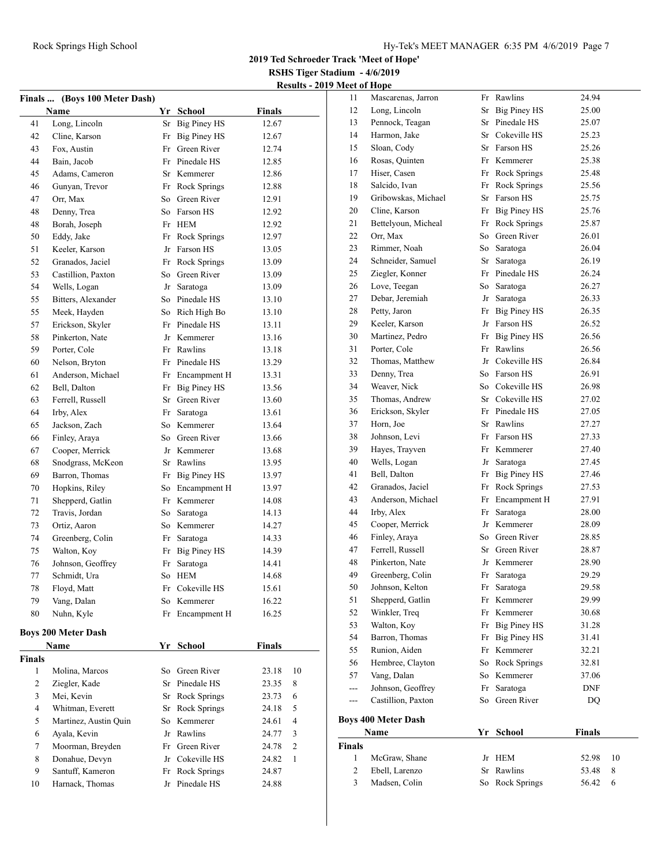**RSHS Tiger Stadium - 4/6/2019 Results - 2019 Meet of Hope**

|               | Finals  (Boys 100 Meter Dash) |    |                     |               |    |
|---------------|-------------------------------|----|---------------------|---------------|----|
|               | Name                          |    | Yr School           | <b>Finals</b> |    |
| 41            | Long, Lincoln                 | Sr | <b>Big Piney HS</b> | 12.67         |    |
| 42            | Cline, Karson                 | Fr | Big Piney HS        | 12.67         |    |
| 43            | Fox. Austin                   | Fr | Green River         | 12.74         |    |
| 44            | Bain, Jacob                   |    | Fr Pinedale HS      | 12.85         |    |
| 45            | Adams, Cameron                |    | Sr Kemmerer         | 12.86         |    |
| 46            | Gunyan, Trevor                |    | Fr Rock Springs     | 12.88         |    |
| 47            | Orr, Max                      |    | So Green River      | 12.91         |    |
| 48            | Denny, Trea                   |    | So Farson HS        | 12.92         |    |
| 48            | Borah, Joseph                 |    | Fr HEM              | 12.92         |    |
| 50            | Eddy, Jake                    | Fr | Rock Springs        | 12.97         |    |
| 51            | Keeler, Karson                |    | Jr Farson HS        | 13.05         |    |
| 52            | Granados, Jaciel              | Fr | Rock Springs        | 13.09         |    |
| 53            | Castillion, Paxton            |    | So Green River      | 13.09         |    |
| 54            | Wells, Logan                  | Jr | Saratoga            | 13.09         |    |
| 55            | Bitters, Alexander            |    | So Pinedale HS      | 13.10         |    |
| 55            | Meek, Hayden                  |    | So Rich High Bo     | 13.10         |    |
| 57            | Erickson, Skyler              |    | Fr Pinedale HS      | 13.11         |    |
| 58            | Pinkerton, Nate               |    | Jr Kemmerer         | 13.16         |    |
| 59            | Porter, Cole                  |    | Fr Rawlins          | 13.18         |    |
| 60            | Nelson, Bryton                |    | Fr Pinedale HS      | 13.29         |    |
| 61            | Anderson, Michael             |    | Fr Encampment H     | 13.31         |    |
| 62            | Bell, Dalton                  | Fr | <b>Big Piney HS</b> | 13.56         |    |
| 63            | Ferrell, Russell              | Sr | Green River         | 13.60         |    |
| 64            | Irby, Alex                    | Fr | Saratoga            | 13.61         |    |
| 65            | Jackson, Zach                 |    | So Kemmerer         | 13.64         |    |
| 66            | Finley, Araya                 |    | So Green River      | 13.66         |    |
| 67            | Cooper, Merrick               |    | Jr Kemmerer         | 13.68         |    |
| 68            | Snodgrass, McKeon             |    | Sr Rawlins          | 13.95         |    |
| 69            | Barron, Thomas                |    | Fr Big Piney HS     | 13.97         |    |
| 70            | Hopkins, Riley                |    | So Encampment H     | 13.97         |    |
| 71            | Shepperd, Gatlin              |    | Fr Kemmerer         | 14.08         |    |
| 72            | Travis. Jordan                | So | Saratoga            | 14.13         |    |
| 73            | Ortiz, Aaron                  |    | So Kemmerer         | 14.27         |    |
| 74            | Greenberg, Colin              | Fr | Saratoga            | 14.33         |    |
| 75            | Walton, Koy                   | Fr | <b>Big Piney HS</b> | 14.39         |    |
| 76            | Johnson, Geoffrey             | Fr | Saratoga            | 14.41         |    |
| 77            | Schmidt, Ura                  | So | <b>HEM</b>          | 14.68         |    |
| 78            | Floyd, Matt                   | Fr | Cokeville HS        | 15.61         |    |
| 79            | Vang, Dalan                   | So | Kemmerer            | 16.22         |    |
| 80            | Nuhn, Kyle                    | Fr | Encampment H        | 16.25         |    |
|               | <b>Boys 200 Meter Dash</b>    |    |                     |               |    |
|               | Name                          | Yr | School              | <b>Finals</b> |    |
| <b>Finals</b> |                               |    |                     |               |    |
| 1             | Molina, Marcos                | So | Green River         | 23.18         | 10 |
| 2             | Ziegler, Kade                 | Sr | Pinedale HS         | 23.35         | 8  |
| 3             | Mei, Kevin                    | Sr | Rock Springs        | 23.73         | 6  |
| 4             | Whitman, Everett              | Sr | Rock Springs        | 24.18         | 5  |
| 5             | Martinez, Austin Quin         | So | Kemmerer            | 24.61         | 4  |
| 6             | Ayala, Kevin                  | Jr | Rawlins             | 24.77         | 3  |
| $\tau$        | Moorman, Breyden              | Fr | Green River         | 24.78         | 2  |
| 8             | Donahue, Devyn                | Jr | Cokeville HS        | 24.82         | 1  |
| 9             | Santuff, Kameron              | Fr | Rock Springs        | 24.87         |    |
| 10            | Harnack, Thomas               | Jr | Pinedale HS         | 24.88         |    |
|               |                               |    |                     |               |    |

| 11                            | Mascarenas, Jarron              |          | Fr Rawlins          | 24.94         |        |
|-------------------------------|---------------------------------|----------|---------------------|---------------|--------|
| 12                            | Long, Lincoln                   | Sr       | <b>Big Piney HS</b> | 25.00         |        |
| 13                            | Pennock, Teagan                 |          | Sr Pinedale HS      | 25.07         |        |
| 14                            | Harmon, Jake                    |          | Sr Cokeville HS     | 25.23         |        |
| 15                            | Sloan, Cody                     |          | Sr Farson HS        | 25.26         |        |
| 16                            | Rosas, Quinten                  |          | Fr Kemmerer         | 25.38         |        |
| 17                            | Hiser, Casen                    | Fr       | <b>Rock Springs</b> | 25.48         |        |
| 18                            | Salcido, Ivan                   | Fr       | Rock Springs        | 25.56         |        |
| 19                            | Gribowskas, Michael             |          | Sr Farson HS        | 25.75         |        |
| 20                            | Cline, Karson                   | Fr       | Big Piney HS        | 25.76         |        |
| 21                            | Bettelyoun, Micheal             |          | Fr Rock Springs     | 25.87         |        |
| 22                            | Orr, Max                        |          | So Green River      | 26.01         |        |
| 23                            | Rimmer, Noah                    |          | So Saratoga         | 26.04         |        |
| 24                            | Schneider, Samuel               |          | Sr Saratoga         | 26.19         |        |
| 25                            | Ziegler, Konner                 |          | Fr Pinedale HS      | 26.24         |        |
| 26                            | Love, Teegan                    | So       | Saratoga            | 26.27         |        |
| 27                            | Debar, Jeremiah                 | Jr       | Saratoga            | 26.33         |        |
| 28                            | Petty, Jaron                    |          | Fr Big Piney HS     | 26.35         |        |
| 29                            | Keeler, Karson                  |          | Jr Farson HS        | 26.52         |        |
| 30                            | Martinez, Pedro                 |          | Fr Big Piney HS     | 26.56         |        |
| 31                            | Porter, Cole                    | Fr       | Rawlins             | 26.56         |        |
| 32                            | Thomas, Matthew                 |          | Jr Cokeville HS     | 26.84         |        |
| 33                            | Denny, Trea                     |          | So Farson HS        | 26.91         |        |
| 34                            | Weaver, Nick                    |          | So Cokeville HS     | 26.98         |        |
| 35                            | Thomas, Andrew                  |          | Sr Cokeville HS     | 27.02         |        |
| 36                            | Erickson, Skyler                |          | Fr Pinedale HS      | 27.05         |        |
| 37                            | Horn, Joe                       |          | Sr Rawlins          | 27.27         |        |
| 38                            | Johnson, Levi                   |          | Fr Farson HS        | 27.33         |        |
| 39                            | Hayes, Trayven                  |          | Fr Kemmerer         | 27.40         |        |
| 40                            | Wells, Logan                    | Jr       | Saratoga            | 27.45         |        |
| 41                            | Bell, Dalton                    | Fr       | <b>Big Piney HS</b> | 27.46         |        |
| 42                            | Granados, Jaciel                |          | Fr Rock Springs     | 27.53         |        |
| 43                            | Anderson, Michael               | Fr       | Encampment H        | 27.91         |        |
| 44                            | Irby, Alex                      | Fr       | Saratoga            | 28.00         |        |
| 45                            | Cooper, Merrick                 |          | Jr Kemmerer         | 28.09         |        |
| 46                            | Finley, Araya                   |          | So Green River      | 28.85         |        |
| 47                            | Ferrell, Russell                |          | Sr Green River      | 28.87         |        |
| 48                            | Pinkerton, Nate                 |          | Jr Kemmerer         | 28.90         |        |
| 49                            | Greenberg, Colin                | Fr       | Saratoga            | 29.29         |        |
| 50                            | Johnson, Kelton                 | Fr       | Saratoga            | 29.58         |        |
| 51                            | Shepperd, Gatlin                | Fr       | Kemmerer            | 29.99         |        |
| 52                            | Winkler, Treq                   | Fr       | Kemmerer            | 30.68         |        |
| 53                            | Walton, Koy                     | Fr       | Big Piney HS        | 31.28         |        |
| 54                            | Barron, Thomas                  | Fr       | <b>Big Piney HS</b> | 31.41         |        |
| 55                            | Runion, Aiden                   | Fr       | Kemmerer            | 32.21         |        |
| 56                            | Hembree, Clayton                | So       | <b>Rock Springs</b> | 32.81         |        |
| 57                            | Vang, Dalan                     |          | So Kemmerer         | 37.06         |        |
| ---                           | Johnson, Geoffrey               | Fr       | Saratoga            | DNF           |        |
| ---                           | Castillion, Paxton              | So       | Green River         | DQ            |        |
|                               | <b>Boys 400 Meter Dash</b>      |          |                     |               |        |
|                               | Name                            |          | Yr School           | <b>Finals</b> |        |
| <b>Finals</b><br>$\mathbf{1}$ |                                 |          |                     |               |        |
| 2                             | McGraw, Shane                   | Jr<br>Sr | HEM<br>Rawlins      | 52.98         | 10     |
| 3                             | Ebell, Larenzo<br>Madsen, Colin |          | Rock Springs        | 53.48         | 8<br>6 |
|                               |                                 | So       |                     | 56.42         |        |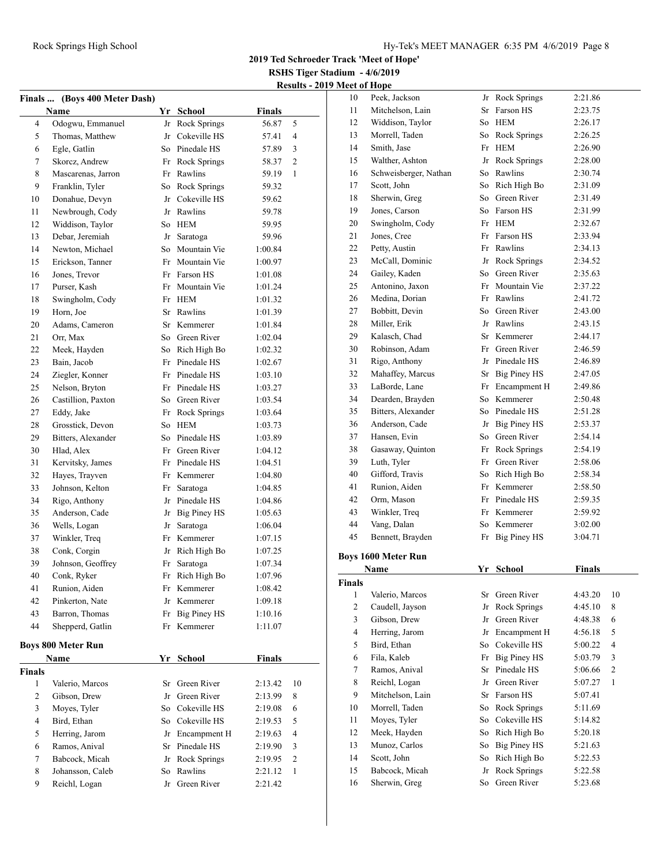**RSHS Tiger Stadium - 4/6/2019 Results - 2019 Meet of Hope**

| <b>Finals</b> | (Boys 400 Meter Dash)     |    |                     |               |              |
|---------------|---------------------------|----|---------------------|---------------|--------------|
|               | Name                      |    | Yr School           | <b>Finals</b> |              |
| 4             | Odogwu, Emmanuel          | Jr | Rock Springs        | 56.87         | 5            |
| 5             | Thomas, Matthew           | Jr | Cokeville HS        | 57.41         | 4            |
| 6             | Egle, Gatlin              | So | Pinedale HS         | 57.89         | 3            |
| 7             | Skorcz, Andrew            |    | Fr Rock Springs     | 58.37         | 2            |
| 8             | Mascarenas, Jarron        |    | Fr Rawlins          | 59.19         | $\mathbf{1}$ |
| 9             | Franklin, Tyler           |    | So Rock Springs     | 59.32         |              |
| 10            | Donahue, Devyn            | Jr | Cokeville HS        | 59.62         |              |
| 11            | Newbrough, Cody           |    | Jr Rawlins          | 59.78         |              |
| 12            | Widdison, Taylor          |    | So HEM              | 59.95         |              |
| 13            | Debar, Jeremiah           | Jr | Saratoga            | 59.96         |              |
| 14            | Newton, Michael           | So | Mountain Vie        | 1:00.84       |              |
| 15            | Erickson, Tanner          |    | Fr Mountain Vie     | 1:00.97       |              |
| 16            | Jones, Trevor             |    | Fr Farson HS        | 1:01.08       |              |
| 17            | Purser, Kash              | Fr | Mountain Vie        | 1:01.24       |              |
| 18            | Swingholm, Cody           |    | Fr HEM              | 1:01.32       |              |
| 19            | Horn, Joe                 |    | Sr Rawlins          | 1:01.39       |              |
| 20            | Adams, Cameron            |    | Sr Kemmerer         | 1:01.84       |              |
| 21            | Orr, Max                  |    | So Green River      | 1:02.04       |              |
| 22            | Meek, Hayden              |    | So Rich High Bo     | 1:02.32       |              |
| 23            | Bain, Jacob               | Fr | Pinedale HS         | 1:02.67       |              |
| 24            | Ziegler, Konner           |    | Fr Pinedale HS      | 1:03.10       |              |
| 25            | Nelson, Bryton            |    | Fr Pinedale HS      | 1:03.27       |              |
| 26            | Castillion, Paxton        | So | Green River         | 1:03.54       |              |
| 27            | Eddy, Jake                | Fr | Rock Springs        | 1:03.64       |              |
| 28            | Grosstick, Devon          | So | <b>HEM</b>          | 1:03.73       |              |
| 29            | Bitters, Alexander        | So | Pinedale HS         | 1:03.89       |              |
| 30            | Hlad, Alex                | Fr | Green River         | 1:04.12       |              |
| 31            | Kervitsky, James          |    | Fr Pinedale HS      | 1:04.51       |              |
| 32            | Hayes, Trayven            |    | Fr Kemmerer         | 1:04.80       |              |
| 33            | Johnson, Kelton           | Fr | Saratoga            | 1:04.85       |              |
| 34            | Rigo, Anthony             |    | Jr Pinedale HS      | 1:04.86       |              |
| 35            | Anderson, Cade            | Jr | <b>Big Piney HS</b> | 1:05.63       |              |
| 36            | Wells, Logan              | Jr | Saratoga            | 1:06.04       |              |
| 37            | Winkler, Treq             |    | Fr Kemmerer         | 1:07.15       |              |
| 38            | Conk, Corgin              |    | Jr Rich High Bo     | 1:07.25       |              |
| 39            | Johnson, Geoffrey         | Fr | Saratoga            | 1:07.34       |              |
| 40            | Conk, Ryker               | Fr | Rich High Bo        | 1:07.96       |              |
| 41            | Runion, Aiden             | Fr | Kemmerer            | 1:08.42       |              |
| 42            | Pinkerton, Nate           | Jr | Kemmerer            | 1:09.18       |              |
| 43            | Barron, Thomas            | Fr | <b>Big Piney HS</b> | 1:10.16       |              |
| 44            | Shepperd, Gatlin          | Fr | Kemmerer            | 1:11.07       |              |
|               | <b>Boys 800 Meter Run</b> |    |                     |               |              |
|               | Name                      |    | Yr School           | <b>Finals</b> |              |
| <b>Finals</b> |                           |    |                     |               |              |
| 1             | Valerio, Marcos           | Sr | Green River         | 2:13.42       | 10           |
| 2             | Gibson, Drew              | Jr | Green River         | 2:13.99       | 8            |
| 3             | Moyes, Tyler              | So | Cokeville HS        | 2:19.08       | 6            |
| 4             | Bird, Ethan               | So | Cokeville HS        | 2:19.53       | 5            |
| 5             | Herring, Jarom            | Jr | Encampment H        | 2:19.63       | 4            |
| 6             | Ramos, Anival             | Sr | Pinedale HS         | 2:19.90       | 3            |
| 7             | Babcock, Micah            | Jr | Rock Springs        | 2:19.95       | 2            |
| 8             | Johansson, Caleb          | So | Rawlins             | 2:21.12       | 1            |
| 9             | Reichl, Logan             | Jr | Green River         | 2:21.42       |              |
|               |                           |    |                     |               |              |

| 10             | Peek, Jackson              |    | Jr Rock Springs     | 2:21.86       |    |
|----------------|----------------------------|----|---------------------|---------------|----|
| 11             | Mitchelson, Lain           | Sr | Farson HS           | 2:23.75       |    |
| 12             | Widdison, Taylor           |    | So HEM              | 2:26.17       |    |
| 13             | Morrell, Taden             |    | So Rock Springs     | 2:26.25       |    |
| 14             | Smith, Jase                |    | Fr HEM              | 2:26.90       |    |
| 15             | Walther, Ashton            |    | Jr Rock Springs     | 2:28.00       |    |
| 16             | Schweisberger, Nathan      |    | So Rawlins          | 2:30.74       |    |
| 17             | Scott, John                |    | So Rich High Bo     | 2:31.09       |    |
| 18             | Sherwin, Greg              |    | So Green River      | 2:31.49       |    |
| 19             | Jones, Carson              |    | So Farson HS        | 2:31.99       |    |
| 20             | Swingholm, Cody            |    | Fr HEM              | 2:32.67       |    |
| 21             | Jones, Cree                |    | Fr Farson HS        | 2:33.94       |    |
| 22             | Petty, Austin              |    | Fr Rawlins          | 2:34.13       |    |
| 23             | McCall, Dominic            |    | Jr Rock Springs     | 2:34.52       |    |
| 24             | Gailey, Kaden              | So | Green River         | 2:35.63       |    |
| 25             | Antonino, Jaxon            |    | Fr Mountain Vie     | 2:37.22       |    |
| 26             | Medina, Dorian             |    | Fr Rawlins          | 2:41.72       |    |
| 27             | Bobbitt, Devin             |    | So Green River      | 2:43.00       |    |
| 28             | Miller, Erik               |    | Jr Rawlins          | 2:43.15       |    |
| 29             | Kalasch, Chad              |    | Sr Kemmerer         | 2:44.17       |    |
| 30             | Robinson, Adam             |    | Fr Green River      | 2:46.59       |    |
| 31             | Rigo, Anthony              |    | Jr Pinedale HS      |               |    |
| 32             |                            |    | Sr Big Piney HS     | 2:46.89       |    |
|                | Mahaffey, Marcus           |    |                     | 2:47.05       |    |
| 33             | LaBorde, Lane              |    | Fr Encampment H     | 2:49.86       |    |
| 34             | Dearden, Brayden           |    | So Kemmerer         | 2:50.48       |    |
| 35             | Bitters, Alexander         |    | So Pinedale HS      | 2:51.28       |    |
| 36             | Anderson, Cade             |    | Jr Big Piney HS     | 2:53.37       |    |
| 37             | Hansen, Evin               |    | So Green River      | 2:54.14       |    |
| 38             | Gasaway, Quinton           |    | Fr Rock Springs     | 2:54.19       |    |
| 39             | Luth, Tyler                |    | Fr Green River      | 2:58.06       |    |
| 40             | Gifford, Travis            |    | So Rich High Bo     | 2:58.34       |    |
| 41             | Runion, Aiden              |    | Fr Kemmerer         | 2:58.50       |    |
| 42             | Orm, Mason                 |    | Fr Pinedale HS      | 2:59.35       |    |
| 43             | Winkler, Treq              |    | Fr Kemmerer         | 2:59.92       |    |
| 44             | Vang, Dalan                | So | Kemmerer            | 3:02.00       |    |
| 45             | Bennett, Brayden           | Fr | Big Piney HS        | 3:04.71       |    |
|                | <b>Boys 1600 Meter Run</b> |    |                     |               |    |
|                | Name                       |    | Yr School           | <b>Finals</b> |    |
| Finals         |                            |    |                     |               |    |
| 1              | Valerio, Marcos            |    | Sr Green River      | 4:43.20       | 10 |
| $\overline{c}$ | Caudell, Jayson            | Jr | <b>Rock Springs</b> | 4:45.10       | 8  |
| 3              | Gibson, Drew               |    | Jr Green River      | 4:48.38       | 6  |
| 4              | Herring, Jarom             |    | Jr Encampment H     | 4:56.18       | 5  |
| 5              | Bird, Ethan                | So | Cokeville HS        | 5:00.22       | 4  |
| 6              | Fila, Kaleb                | Fr | <b>Big Piney HS</b> | 5:03.79       | 3  |
| 7              | Ramos, Anival              | Sr | Pinedale HS         | 5:06.66       | 2  |
| 8              | Reichl, Logan              | Jr | Green River         | 5:07.27       | 1  |
| 9              | Mitchelson, Lain           | Sr | Farson HS           | 5:07.41       |    |
| 10             | Morrell, Taden             | So | Rock Springs        | 5:11.69       |    |
| 11             | Moves, Tyler               | So | Cokeville HS        | 5:14.82       |    |
| 12             | Meek, Hayden               | So | Rich High Bo        | 5:20.18       |    |
| 13             | Munoz, Carlos              | So | <b>Big Piney HS</b> | 5:21.63       |    |
| 14             | Scott, John                | So | Rich High Bo        | 5:22.53       |    |
| 15             | Babcock, Micah             | Jr | Rock Springs        | 5:22.58       |    |
| 16             | Sherwin, Greg              | So | Green River         | 5:23.68       |    |
|                |                            |    |                     |               |    |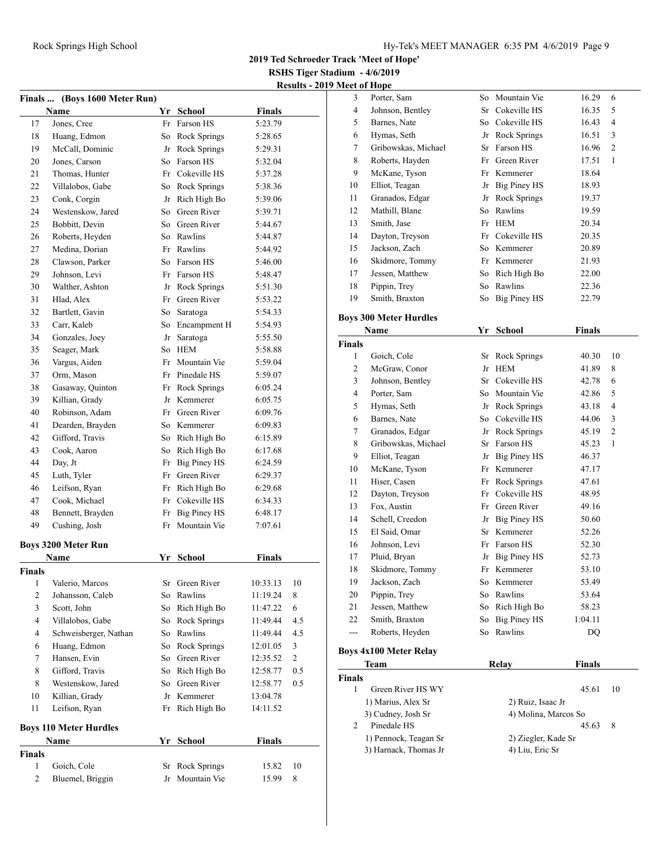**2019 Ted Schroeder Track 'Meet of Hope'**

**RSHS Tiger Stadium - 4/6/2019 Results - 2019 Meet of Hope**

|                | Finals  (Boys 1600 Meter Run) |    |                     |               |                |
|----------------|-------------------------------|----|---------------------|---------------|----------------|
|                | <b>Name</b>                   |    | Yr School           | <b>Finals</b> |                |
| 17             | Jones, Cree                   |    | Fr Farson HS        | 5:23.79       |                |
| 18             | Huang, Edmon                  |    | So Rock Springs     | 5:28.65       |                |
| 19             | McCall, Dominic               | Jr | Rock Springs        | 5:29.31       |                |
| 20             | Jones, Carson                 | So | Farson HS           | 5:32.04       |                |
| 21             | Thomas, Hunter                |    | Fr Cokeville HS     | 5:37.28       |                |
| 22             | Villalobos, Gabe              |    | So Rock Springs     | 5:38.36       |                |
| 23             | Conk, Corgin                  |    | Jr Rich High Bo     | 5:39.06       |                |
| 24             | Westenskow, Jared             |    | So Green River      | 5:39.71       |                |
| 25             | Bobbitt, Devin                |    | So Green River      | 5:44.67       |                |
| 26             | Roberts, Heyden               |    | So Rawlins          | 5:44.87       |                |
| 27             | Medina, Dorian                |    | Fr Rawlins          | 5:44.92       |                |
| 28             | Clawson, Parker               |    | So Farson HS        | 5:46.00       |                |
| 29             | Johnson, Levi                 |    | Fr Farson HS        | 5:48.47       |                |
| 30             | Walther, Ashton               |    | Jr Rock Springs     | 5:51.30       |                |
| 31             | Hlad, Alex                    |    | Fr Green River      | 5:53.22       |                |
| 32             | Bartlett, Gavin               |    | So Saratoga         | 5:54.33       |                |
| 33             | Carr, Kaleb                   |    | So Encampment H     | 5:54.93       |                |
| 34             | Gonzales, Joey                |    | Jr Saratoga         | 5:55.50       |                |
| 35             | Seager, Mark                  |    | So HEM              | 5:58.88       |                |
| 36             | Vargus, Aiden                 |    | Fr Mountain Vie     | 5:59.04       |                |
| 37             | Orm, Mason                    |    | Fr Pinedale HS      | 5:59.07       |                |
| 38             | Gasaway, Quinton              |    | Fr Rock Springs     | 6:05.24       |                |
| 39             | Killian, Grady                |    | Jr Kemmerer         | 6:05.75       |                |
| 40             | Robinson, Adam                |    | Fr Green River      | 6:09.76       |                |
| 41             | Dearden, Brayden              |    | So Kemmerer         | 6:09.83       |                |
| 42             | Gifford, Travis               |    | So Rich High Bo     | 6:15.89       |                |
| 43             | Cook, Aaron                   |    | So Rich High Bo     | 6:17.68       |                |
| 44             | Day, Jt                       |    | Fr Big Piney HS     | 6:24.59       |                |
| 45             | Luth, Tyler                   |    | Fr Green River      | 6:29.37       |                |
| 46             | Leifson, Ryan                 |    | Fr Rich High Bo     | 6:29.68       |                |
| 47             | Cook, Michael                 |    | Fr Cokeville HS     | 6:34.33       |                |
| 48             | Bennett, Brayden              | Fr | Big Piney HS        | 6:48.17       |                |
| 49             | Cushing, Josh                 | Fr | Mountain Vie        | 7:07.61       |                |
|                | <b>Boys 3200 Meter Run</b>    |    |                     |               |                |
|                | Name                          |    | Yr School           | <b>Finals</b> |                |
| Finals         |                               |    |                     |               |                |
| 1              | Valerio, Marcos               | Sr | Green River         | 10:33.13      | 10             |
| $\mathfrak{2}$ | Johansson, Caleb              | So | Rawlins             | 11:19.24      | 8              |
| 3              | Scott, John                   | So | Rich High Bo        | 11:47.22      | 6              |
| 4              | Villalobos, Gabe              | So | <b>Rock Springs</b> | 11:49.44      | 4.5            |
| 4              | Schweisberger, Nathan         | So | Rawlins             | 11:49.44      | 4.5            |
| 6              | Huang, Edmon                  | So | Rock Springs        | 12:01.05      | 3              |
| 7              | Hansen, Evin                  | So | Green River         | 12:35.52      | $\overline{c}$ |
| 8              | Gifford, Travis               | So | Rich High Bo        | 12:58.77      | 0.5            |
| 8              | Westenskow, Jared             | So | Green River         | 12:58.77      | 0.5            |
| 10             | Killian, Grady                |    | Jr Kemmerer         | 13:04.78      |                |
| 11             | Leifson, Ryan                 | Fr | Rich High Bo        | 14:11.52      |                |
|                |                               |    |                     |               |                |
|                | <b>Boys 110 Meter Hurdles</b> |    |                     |               |                |
|                | Name                          | Yr | <b>School</b>       | <b>Finals</b> |                |
| Finals         |                               |    |                     |               |                |
| 1              | Goich, Cole                   | Sr | Rock Springs        | 15.82         | 10             |
| 2              | Bluemel, Briggin              | Jr | Mountain Vie        | 15.99         | 8              |

|                | eet of Hope         |    |                 |       |   |
|----------------|---------------------|----|-----------------|-------|---|
| 3              | Porter, Sam         |    | So Mountain Vie | 16.29 | 6 |
| $\overline{4}$ | Johnson, Bentley    |    | Sr Cokeville HS | 16.35 | 5 |
| 5              | Barnes, Nate        |    | So Cokeville HS | 16.43 | 4 |
| 6              | Hymas, Seth         |    | Jr Rock Springs | 16.51 | 3 |
| 7              | Gribowskas, Michael |    | Sr Farson HS    | 16.96 | 2 |
| 8              | Roberts, Hayden     |    | Fr Green River  | 17.51 | 1 |
| 9              | McKane, Tyson       |    | Fr Kemmerer     | 18.64 |   |
| 10             | Elliot, Teagan      |    | Jr Big Piney HS | 18.93 |   |
| 11             | Granados, Edgar     |    | Jr Rock Springs | 19.37 |   |
| 12             | Mathill, Blane      | So | Rawlins         | 19.59 |   |
| 13             | Smith, Jase         | Fr | HEM             | 20.34 |   |
| 14             | Dayton, Treyson     |    | Fr Cokeville HS | 20.35 |   |
| 15             | Jackson, Zach       |    | So Kemmerer     | 20.89 |   |
| 16             | Skidmore, Tommy     |    | Fr Kemmerer     | 21.93 |   |
| 17             | Jessen, Matthew     |    | So Rich High Bo | 22.00 |   |
| 18             | Pippin, Trey        | So | Rawlins         | 22.36 |   |
| 19             | Smith, Braxton      | So | Big Piney HS    | 22.79 |   |
|                |                     |    |                 |       |   |

#### **Boys 300 Meter Hurdles**

|                | Name                | Yr  | <b>School</b>   | <b>Finals</b> |                |
|----------------|---------------------|-----|-----------------|---------------|----------------|
| <b>Finals</b>  |                     |     |                 |               |                |
| $\mathbf{1}$   | Goich, Cole         | Sr  | Rock Springs    | 40.30         | 10             |
| 2              | McGraw, Conor       | Jr  | <b>HEM</b>      | 41.89         | 8              |
| 3              | Johnson, Bentley    | Sr  | Cokeville HS    | 42.78         | 6              |
| $\overline{4}$ | Porter, Sam         | So  | Mountain Vie    | 42.86         | 5              |
| 5              | Hymas, Seth         | Jr  | Rock Springs    | 43.18         | 4              |
| 6              | Barnes, Nate        | So. | Cokeville HS    | 44.06         | 3              |
| 7              | Granados, Edgar     |     | Jr Rock Springs | 45.19         | $\overline{2}$ |
| 8              | Gribowskas, Michael | Sr  | Farson HS       | 45.23         | 1              |
| 9              | Elliot, Teagan      | Jr  | Big Piney HS    | 46.37         |                |
| 10             | McKane, Tyson       | Fr  | Kemmerer        | 47.17         |                |
| 11             | Hiser, Casen        | Fr  | Rock Springs    | 47.61         |                |
| 12             | Dayton, Treyson     | Fr  | Cokeville HS    | 48.95         |                |
| 13             | Fox, Austin         | Fr  | Green River     | 49.16         |                |
| 14             | Schell, Creedon     | Jr  | Big Piney HS    | 50.60         |                |
| 15             | El Said, Omar       | Sr  | Kemmerer        | 52.26         |                |
| 16             | Johnson, Levi       | Fr  | Farson HS       | 52.30         |                |
| 17             | Pluid, Bryan        | Jr  | Big Piney HS    | 52.73         |                |
| 18             | Skidmore, Tommy     | Fr  | Kemmerer        | 53.10         |                |
| 19             | Jackson, Zach       | So  | Kemmerer        | 53.49         |                |
| 20             | Pippin, Trey        | So  | Rawlins         | 53.64         |                |
| 21             | Jessen, Matthew     | So  | Rich High Bo    | 58.23         |                |
| 22             | Smith, Braxton      | So  | Big Piney HS    | 1:04.11       |                |
| ---            | Roberts, Heyden     | So  | Rawlins         | DQ            |                |
|                |                     |     |                 |               |                |

### **Boys 4x100 Meter Relay**

| Team                  | Relav                | <b>Finals</b> |
|-----------------------|----------------------|---------------|
| <b>Finals</b>         |                      |               |
| Green River HS WY     |                      | 45.61<br>10   |
| 1) Marius, Alex Sr    | 2) Ruiz, Isaac Jr    |               |
| 3) Cudney, Josh Sr    | 4) Molina, Marcos So |               |
| Pinedale HS           |                      | 45.63<br>8    |
| 1) Pennock, Teagan Sr | 2) Ziegler, Kade Sr  |               |
| 3) Harnack, Thomas Jr | 4) Liu, Eric Sr      |               |
|                       |                      |               |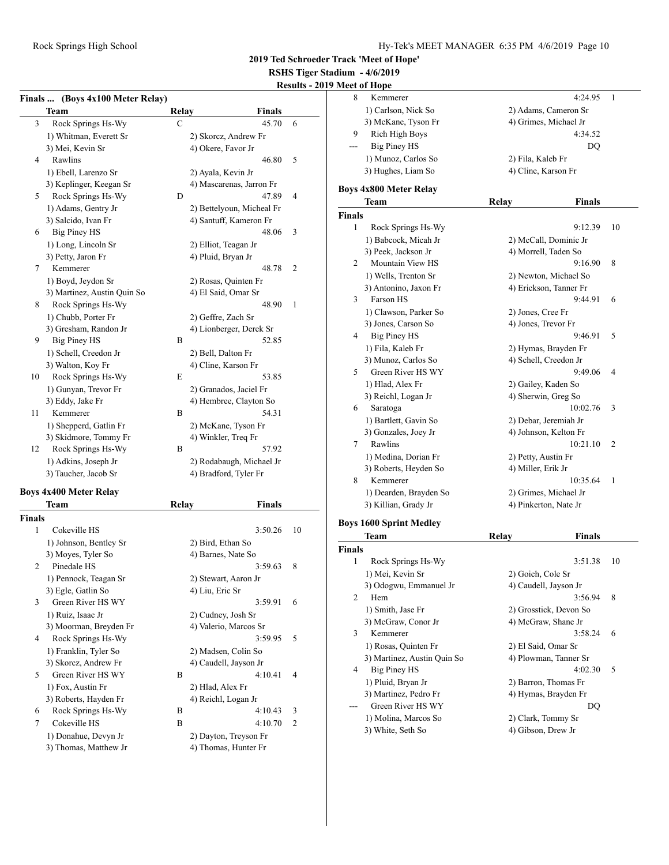**RSHS Tiger Stadium - 4/6/2019**

### **Results - 2019**

|             | Finals  (Boys 4x100 Meter Relay) |       |                           |    |
|-------------|----------------------------------|-------|---------------------------|----|
|             | Team                             | Relay | <b>Finals</b>             |    |
| 3           | Rock Springs Hs-Wy               | С     | 45.70                     | 6  |
|             | 1) Whitman, Everett Sr           |       | 2) Skorcz, Andrew Fr      |    |
|             | 3) Mei, Kevin Sr                 |       | 4) Okere, Favor Jr        |    |
| 4           | Rawlins                          |       | 46.80                     | 5  |
|             | 1) Ebell, Larenzo Sr             |       | 2) Ayala, Kevin Jr        |    |
|             | 3) Keplinger, Keegan Sr          |       | 4) Mascarenas, Jarron Fr  |    |
| 5           | Rock Springs Hs-Wy               | D     | 47.89                     | 4  |
|             | 1) Adams, Gentry Jr              |       | 2) Bettelyoun, Micheal Fr |    |
|             | 3) Salcido, Ivan Fr              |       | 4) Santuff, Kameron Fr    |    |
| 6           | <b>Big Piney HS</b>              |       | 48.06                     | 3  |
|             | 1) Long, Lincoln Sr              |       | 2) Elliot, Teagan Jr      |    |
|             | 3) Petty, Jaron Fr               |       | 4) Pluid, Bryan Jr        |    |
| 7           | Kemmerer                         |       | 48.78                     | 2  |
|             | 1) Boyd, Jeydon Sr               |       | 2) Rosas, Quinten Fr      |    |
|             | 3) Martinez, Austin Quin So      |       | 4) El Said, Omar Sr       |    |
| 8           | Rock Springs Hs-Wy               |       | 48.90                     | 1  |
|             | 1) Chubb, Porter Fr              |       | 2) Geffre, Zach Sr        |    |
|             | 3) Gresham, Randon Jr            |       | 4) Lionberger, Derek Sr   |    |
| 9           | <b>Big Piney HS</b>              | B     | 52.85                     |    |
|             |                                  |       |                           |    |
|             | 1) Schell, Creedon Jr            |       | 2) Bell, Dalton Fr        |    |
|             | 3) Walton, Koy Fr                |       | 4) Cline, Karson Fr       |    |
| 10          | Rock Springs Hs-Wy               | E     | 53.85                     |    |
|             | 1) Gunyan, Trevor Fr             |       | 2) Granados, Jaciel Fr    |    |
|             | 3) Eddy, Jake Fr                 |       | 4) Hembree, Clayton So    |    |
| 11          | Kemmerer                         | B     | 54.31                     |    |
|             | 1) Shepperd, Gatlin Fr           |       | 2) McKane, Tyson Fr       |    |
|             | 3) Skidmore, Tommy Fr            |       | 4) Winkler, Treq Fr       |    |
| 12          | Rock Springs Hs-Wy               | В     | 57.92                     |    |
|             | 1) Adkins, Joseph Jr             |       | 2) Rodabaugh, Michael Jr  |    |
|             | 3) Taucher, Jacob Sr             |       | 4) Bradford, Tyler Fr     |    |
|             | <b>Boys 4x400 Meter Relay</b>    |       |                           |    |
|             | Team                             | Relay | <b>Finals</b>             |    |
|             |                                  |       |                           |    |
| Finals<br>1 | Cokeville HS                     |       | 3:50.26                   | 10 |
|             |                                  |       |                           |    |
|             | 1) Johnson, Bentley Sr           |       | 2) Bird, Ethan So         |    |
|             | 3) Moyes, Tyler So               |       | 4) Barnes, Nate So        |    |
| 2           | Pinedale HS                      |       | 3:59.63                   | 8  |
|             | 1) Pennock, Teagan Sr            |       | 2) Stewart, Aaron Jr      |    |
|             | 3) Egle, Gatlin So               |       | 4) Liu, Eric Sr           |    |
| 3           | Green River HS WY                |       | 3:59.91                   | 6  |
|             | 1) Ruiz, Isaac Jr                |       | 2) Cudney, Josh Sr        |    |
|             | 3) Moorman, Breyden Fr           |       | 4) Valerio, Marcos Sr     |    |
| 4           | Rock Springs Hs-Wy               |       | 3:59.95                   | 5  |
|             | 1) Franklin, Tyler So            |       | 2) Madsen, Colin So       |    |
|             | 3) Skorcz, Andrew Fr             |       | 4) Caudell, Jayson Jr     |    |
| 5           | Green River HS WY                | В     | 4:10.41                   | 4  |
|             | 1) Fox, Austin Fr                |       | 2) Hlad, Alex Fr          |    |

3) Roberts, Hayden Fr 4) Reichl, Logan Jr<br>Rock Springs Hs-Wy B 4:10.43 3

7 Cokeville HS B 4:10.70 2 1) Donahue, Devyn Jr 2) Dayton, Treyson Fr 3) Thomas, Matthew Jr 4) Thomas, Hunter Fr

6 Rock Springs Hs-Wy

|               | Meet of Hope                   |                        |    |
|---------------|--------------------------------|------------------------|----|
| 8             | Kemmerer                       | 4:24.95                | 1  |
|               | 1) Carlson, Nick So            | 2) Adams, Cameron Sr   |    |
|               | 3) McKane, Tyson Fr            | 4) Grimes, Michael Jr  |    |
| 9             | <b>Rich High Boys</b>          | 4:34.52                |    |
| ---           | <b>Big Piney HS</b>            | DO                     |    |
|               | 1) Munoz, Carlos So            | 2) Fila, Kaleb Fr      |    |
|               | 3) Hughes, Liam So             | 4) Cline, Karson Fr    |    |
|               |                                |                        |    |
|               | <b>Boys 4x800 Meter Relay</b>  |                        |    |
|               | Team                           | Relay<br><b>Finals</b> |    |
| <b>Finals</b> |                                |                        |    |
| 1             | Rock Springs Hs-Wy             | 9:12.39                | 10 |
|               | 1) Babcock, Micah Jr           | 2) McCall, Dominic Jr  |    |
|               | 3) Peek, Jackson Jr            | 4) Morrell, Taden So   |    |
| 2             | Mountain View HS               | 9:16.90                | 8  |
|               | 1) Wells, Trenton Sr           | 2) Newton, Michael So  |    |
|               | 3) Antonino, Jaxon Fr          | 4) Erickson, Tanner Fr |    |
| 3             | Farson HS                      | 9:44.91                | 6  |
|               | 1) Clawson, Parker So          | 2) Jones, Cree Fr      |    |
|               | 3) Jones, Carson So            | 4) Jones, Trevor Fr    |    |
| 4             | Big Piney HS                   | 9:46.91                | 5  |
|               | 1) Fila, Kaleb Fr              | 2) Hymas, Brayden Fr   |    |
|               | 3) Munoz, Carlos So            | 4) Schell, Creedon Jr  |    |
| 5             | Green River HS WY              | 9:49.06                | 4  |
|               | 1) Hlad, Alex Fr               | 2) Gailey, Kaden So    |    |
|               | 3) Reichl, Logan Jr            | 4) Sherwin, Greg So    |    |
| 6             | Saratoga                       | 10:02.76               | 3  |
|               | 1) Bartlett, Gavin So          | 2) Debar, Jeremiah Jr  |    |
|               | 3) Gonzales, Joey Jr           | 4) Johnson, Kelton Fr  |    |
| 7             | Rawlins                        | 10:21.10               | 2  |
|               | 1) Medina, Dorian Fr           | 2) Petty, Austin Fr    |    |
|               | 3) Roberts, Heyden So          | 4) Miller, Erik Jr     |    |
| 8             | Kemmerer                       | 10:35.64               | 1  |
|               | 1) Dearden, Brayden So         | 2) Grimes, Michael Jr  |    |
|               | 3) Killian, Grady Jr           | 4) Pinkerton, Nate Jr  |    |
|               |                                |                        |    |
|               | <b>Boys 1600 Sprint Medley</b> |                        |    |
|               | Team                           | Relay<br><b>Finals</b> |    |
| Finals        |                                |                        |    |
| 1             | Rock Springs Hs-Wy             | 3:51.38                | 10 |
|               | 1) Mei, Kevin Sr               | 2) Goich, Cole Sr      |    |
|               | 3) Odogwu, Emmanuel Jr         | 4) Caudell, Jayson Jr  |    |
| 2             | Hem                            | 3:56.94                | 8  |
|               | 1) Smith, Jase Fr              | 2) Grosstick, Devon So |    |
|               | 3) McGraw, Conor Jr            | 4) McGraw, Shane Jr    |    |
| 3             | Kemmerer                       | 3:58.24                | 6  |
|               | 1) Rosas, Quinten Fr           | 2) El Said, Omar Sr    |    |
|               | 3) Martinez, Austin Quin So    | 4) Plowman, Tanner Sr  |    |
| 4             | <b>Big Piney HS</b>            | 4:02.30                | 5  |
|               | 1) Pluid, Bryan Jr             | 2) Barron, Thomas Fr   |    |
|               | 3) Martinez, Pedro Fr          | 4) Hymas, Brayden Fr   |    |
|               | Green River HS WY              | DQ                     |    |
|               | 1) Molina, Marcos So           | 2) Clark, Tommy Sr     |    |
|               | 3) White, Seth So              | 4) Gibson, Drew Jr     |    |
|               |                                |                        |    |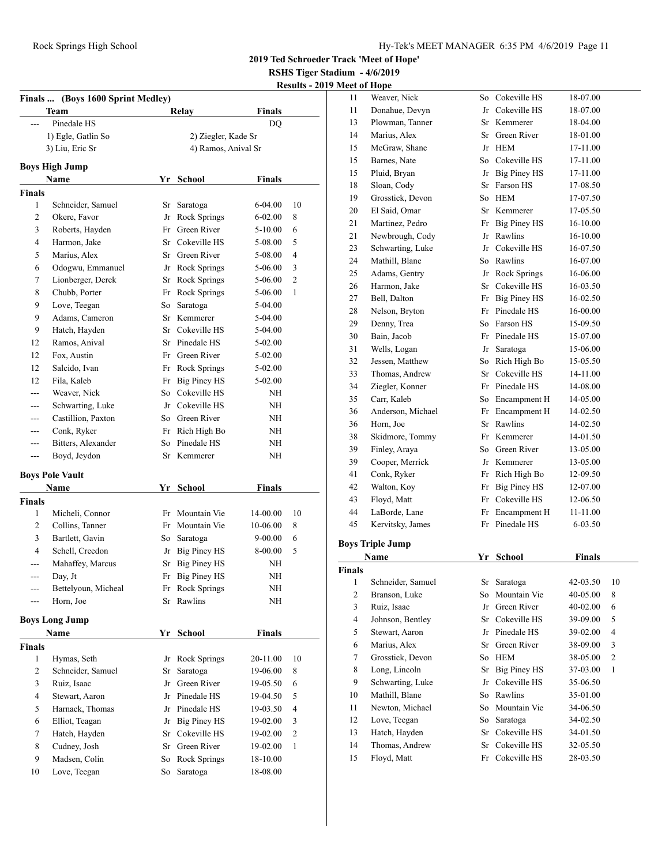**2019 Ted Schroeder Track 'Meet of Hope'**

**RSHS Tiger Stadium - 4/6/2019**

#### **Results - 2019 Meet of Hope**

| Finals  (Boys 1600 Sprint Medley) |                        |                     |                     |               |                         |
|-----------------------------------|------------------------|---------------------|---------------------|---------------|-------------------------|
|                                   | Team                   |                     | Relay               | Finals        |                         |
|                                   | Pinedale HS            |                     |                     | DQ            |                         |
|                                   | 1) Egle, Gatlin So     | 2) Ziegler, Kade Sr |                     |               |                         |
| 3) Liu, Eric Sr                   |                        |                     | 4) Ramos, Anival Sr |               |                         |
|                                   | <b>Boys High Jump</b>  |                     |                     |               |                         |
|                                   | Name                   |                     | Yr School           | Finals        |                         |
| <b>Finals</b>                     |                        |                     |                     |               |                         |
| 1                                 | Schneider, Samuel      | Sr                  | Saratoga            | 6-04.00       | 10                      |
| 2                                 | Okere, Favor           | Jr                  | Rock Springs        | $6 - 02.00$   | 8                       |
| 3                                 | Roberts, Hayden        | Fr                  | Green River         | 5-10.00       | 6                       |
| 4                                 | Harmon, Jake           |                     | Sr Cokeville HS     | 5-08.00       | 5                       |
| 5                                 | Marius, Alex           | Sr                  | Green River         | 5-08.00       | 4                       |
| 6                                 | Odogwu, Emmanuel       | Jr                  | Rock Springs        | 5-06.00       | 3                       |
| 7                                 | Lionberger, Derek      | Sr                  | Rock Springs        | 5-06.00       | 2                       |
| 8                                 | Chubb, Porter          | Fr                  | Rock Springs        | 5-06.00       | 1                       |
| 9                                 | Love, Teegan           | So                  | Saratoga            | 5-04.00       |                         |
| 9                                 | Adams, Cameron         | Sr                  | Kemmerer            | 5-04.00       |                         |
| 9                                 | Hatch, Hayden          |                     | Sr Cokeville HS     | 5-04.00       |                         |
| 12                                | Ramos, Anival          |                     | Sr Pinedale HS      | 5-02.00       |                         |
| 12                                | Fox, Austin            |                     | Fr Green River      | 5-02.00       |                         |
| 12                                | Salcido, Ivan          |                     | Fr Rock Springs     | 5-02.00       |                         |
| 12                                | Fila, Kaleb            | Fr                  | <b>Big Piney HS</b> | 5-02.00       |                         |
| ---                               | Weaver, Nick           | So                  | Cokeville HS        | NH            |                         |
| ---                               | Schwarting, Luke       |                     | Jr Cokeville HS     | NΗ            |                         |
| ---                               | Castillion, Paxton     |                     | So Green River      | NΗ            |                         |
| ---                               | Conk, Ryker            | Fr                  | Rich High Bo        | NΗ            |                         |
| ---                               | Bitters, Alexander     | So                  | Pinedale HS         | NΗ            |                         |
| ---                               | Boyd, Jeydon           | Sr                  | Kemmerer            | NΗ            |                         |
|                                   | <b>Boys Pole Vault</b> |                     |                     |               |                         |
|                                   | Name                   | Yr                  | <b>School</b>       | <b>Finals</b> |                         |
| <b>Finals</b>                     |                        |                     |                     |               |                         |
| 1                                 | Micheli, Connor        |                     | Fr Mountain Vie     | 14-00.00      | 10                      |
| 2                                 | Collins, Tanner        |                     | Fr Mountain Vie     | 10-06.00      | 8                       |
| 3                                 | Bartlett, Gavin        | So                  | Saratoga            | 9-00.00       | 6                       |
| 4                                 | Schell, Creedon        | Jr                  | <b>Big Piney HS</b> | 8-00.00       | 5                       |
| ---                               | Mahaffey, Marcus       | Sr                  | Big Piney HS        | NΗ            |                         |
| ---                               | Day, Jt                |                     | Fr Big Piney HS     | NΗ            |                         |
|                                   | Bettelyoun, Micheal    | Fr                  | Rock Springs        | NH            |                         |
|                                   | Horn, Joe              | Sr                  | Rawlins             | NΗ            |                         |
|                                   | <b>Boys Long Jump</b>  |                     |                     |               |                         |
|                                   | Name                   |                     | <u>Yr School</u>    | <b>Finals</b> |                         |
| Finals                            |                        |                     |                     |               |                         |
| 1                                 | Hymas, Seth            | Jr                  | <b>Rock Springs</b> | 20-11.00      | 10                      |
| 2                                 | Schneider, Samuel      | Sr                  | Saratoga            | 19-06.00      | 8                       |
| 3                                 | Ruiz, Isaac            | Jr                  | Green River         | 19-05.50      | 6                       |
| 4                                 | Stewart, Aaron         | Jr                  | Pinedale HS         | 19-04.50      | 5                       |
| 5                                 | Harnack, Thomas        | Jr                  | Pinedale HS         | 19-03.50      | 4                       |
| 6                                 | Elliot, Teagan         | Jr                  | <b>Big Piney HS</b> | 19-02.00      | 3                       |
| 7                                 | Hatch, Hayden          | Sr                  | Cokeville HS        | 19-02.00      | $\overline{\mathbf{c}}$ |
| 8                                 | Cudney, Josh           | Sr                  | Green River         | 19-02.00      | 1                       |
| 9                                 | Madsen, Colin          | So                  | Rock Springs        | 18-10.00      |                         |
| 10                                | Love, Teegan           | So                  | Saratoga            | 18-08.00      |                         |
|                                   |                        |                     |                     |               |                         |

| меет от норе            |                         |    |                     |               |                |
|-------------------------|-------------------------|----|---------------------|---------------|----------------|
| 11                      | Weaver, Nick            |    | So Cokeville HS     | 18-07.00      |                |
| 11                      | Donahue, Devyn          |    | Jr Cokeville HS     | 18-07.00      |                |
| 13                      | Plowman, Tanner         |    | Sr Kemmerer         | 18-04.00      |                |
| 14                      | Marius, Alex            |    | Sr Green River      | 18-01.00      |                |
| 15                      | McGraw, Shane           |    | Jr HEM              | 17-11.00      |                |
| 15                      | Barnes, Nate            |    | So Cokeville HS     | 17-11.00      |                |
| 15                      | Pluid, Bryan            |    | Jr Big Piney HS     | 17-11.00      |                |
| 18                      | Sloan, Cody             |    | Sr Farson HS        | 17-08.50      |                |
| 19                      | Grosstick, Devon        |    | So HEM              | 17-07.50      |                |
| 20                      | El Said, Omar           |    | Sr Kemmerer         | 17-05.50      |                |
| 21                      | Martinez, Pedro         | Fr | Big Piney HS        | 16-10.00      |                |
| 21                      | Newbrough, Cody         | Jr | Rawlins             | 16-10.00      |                |
| 23                      | Schwarting, Luke        |    | Jr Cokeville HS     | 16-07.50      |                |
| 24                      | Mathill, Blane          |    | So Rawlins          | 16-07.00      |                |
| 25                      | Adams, Gentry           |    | Jr Rock Springs     | 16-06.00      |                |
| 26                      | Harmon, Jake            |    | Sr Cokeville HS     | 16-03.50      |                |
| 27                      | Bell, Dalton            |    | Fr Big Piney HS     | 16-02.50      |                |
| 28                      | Nelson, Bryton          |    | Fr Pinedale HS      | 16-00.00      |                |
| 29                      | Denny, Trea             |    | So Farson HS        | 15-09.50      |                |
| 30                      | Bain, Jacob             |    | Fr Pinedale HS      | 15-07.00      |                |
| 31                      | Wells, Logan            | Jr | Saratoga            | 15-06.00      |                |
| 32                      | Jessen, Matthew         | So | Rich High Bo        | 15-05.50      |                |
| 33                      | Thomas, Andrew          |    | Sr Cokeville HS     | 14-11.00      |                |
| 34                      | Ziegler, Konner         |    | Fr Pinedale HS      | 14-08.00      |                |
| 35                      | Carr, Kaleb             |    | So Encampment H     | 14-05.00      |                |
| 36                      | Anderson, Michael       |    | Fr Encampment H     | 14-02.50      |                |
| 36                      | Horn, Joe               |    | Sr Rawlins          | 14-02.50      |                |
| 38                      | Skidmore, Tommy         |    | Fr Kemmerer         | 14-01.50      |                |
| 39                      | Finley, Araya           | So | Green River         | 13-05.00      |                |
| 39                      | Cooper, Merrick         |    | Jr Kemmerer         | 13-05.00      |                |
| 41                      | Conk, Ryker             |    | Fr Rich High Bo     | 12-09.50      |                |
| 42                      | Walton, Koy             | Fr | <b>Big Piney HS</b> | 12-07.00      |                |
| 43                      | Floyd, Matt             | Fr | Cokeville HS        | 12-06.50      |                |
| 44                      | LaBorde, Lane           | Fr | Encampment H        | 11-11.00      |                |
| 45                      | Kervitsky, James        | Fr | Pinedale HS         | 6-03.50       |                |
|                         | <b>Boys Triple Jump</b> |    |                     |               |                |
|                         | Name                    | Yr | <b>School</b>       | <b>Finals</b> |                |
| <b>Finals</b>           |                         |    |                     |               |                |
| $\mathbf{1}$            | Schneider, Samuel       | Sr | Saratoga            | 42-03.50      | 10             |
| $\mathfrak{2}$          | Branson, Luke           | So | Mountain Vie        | 40-05.00      | 8              |
| 3                       | Ruiz, Isaac             | Jr | Green River         | 40-02.00      | 6              |
| $\overline{\mathbf{4}}$ | Johnson, Bentley        | Sr | Cokeville HS        | 39-09.00      | 5              |
| 5                       | Stewart, Aaron          | Jr | Pinedale HS         | 39-02.00      | 4              |
| 6                       | Marius, Alex            | Sr | Green River         | 38-09.00      | 3              |
| 7                       | Grosstick, Devon        | So | <b>HEM</b>          | 38-05.00      | $\overline{c}$ |
| 8                       | Long, Lincoln           | Sr | <b>Big Piney HS</b> | 37-03.00      | 1              |
| 9                       | Schwarting, Luke        | Jr | Cokeville HS        | 35-06.50      |                |
| 10                      | Mathill, Blane          | So | Rawlins             | 35-01.00      |                |
| 11                      | Newton, Michael         | So | Mountain Vie        | 34-06.50      |                |
| 12                      | Love, Teegan            | So | Saratoga            | 34-02.50      |                |
| 13                      | Hatch, Hayden           | Sr | Cokeville HS        | 34-01.50      |                |
|                         |                         |    |                     |               |                |

 Thomas, Andrew Sr Cokeville HS 32-05.50 15 Floyd, Matt Fr Cokeville HS 28-03.50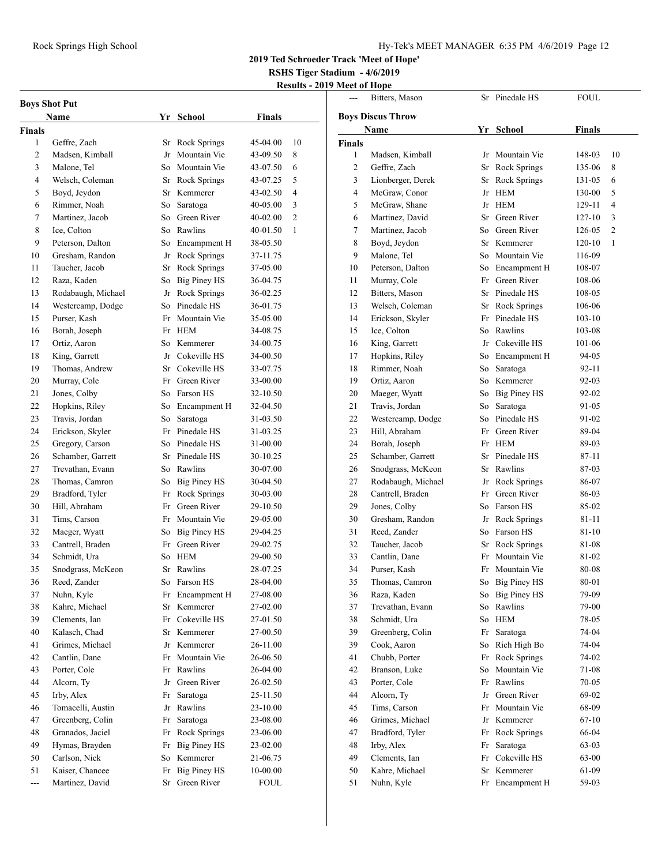**2019 Ted Schroeder Track 'Meet of Hope'**

**RSHS Tiger Stadium - 4/6/2019**

## **Results - 2019 Meet of Hope**

 $\overline{\phantom{0}}$ 

| <b>Boys Shot Put</b> |                    |     |                     |               |                |  |  |
|----------------------|--------------------|-----|---------------------|---------------|----------------|--|--|
| Name                 |                    | Yr  | School              | <b>Finals</b> |                |  |  |
| Finals               |                    |     |                     |               |                |  |  |
| 1                    | Geffre, Zach       | Sr  | Rock Springs        | 45-04.00      | 10             |  |  |
| 2                    | Madsen, Kimball    | Jr  | Mountain Vie        | 43-09.50      | 8              |  |  |
| 3                    | Malone, Tel        | So  | Mountain Vie        | 43-07.50      | 6              |  |  |
| 4                    | Welsch, Coleman    | Sr  | Rock Springs        | 43-07.25      | 5              |  |  |
| 5                    | Boyd, Jeydon       | Sr  | Kemmerer            | 43-02.50      | 4              |  |  |
| 6                    | Rimmer, Noah       | So  | Saratoga            | 40-05.00      | 3              |  |  |
| 7                    | Martinez, Jacob    | So  | Green River         | $40 - 02.00$  | $\overline{c}$ |  |  |
| 8                    | Ice, Colton        | So  | Rawlins             | 40-01.50      | 1              |  |  |
| 9                    | Peterson, Dalton   |     | So Encampment H     | 38-05.50      |                |  |  |
| 10                   | Gresham, Randon    |     | Jr Rock Springs     | 37-11.75      |                |  |  |
| 11                   | Taucher, Jacob     | Sr  | Rock Springs        | 37-05.00      |                |  |  |
| 12                   | Raza, Kaden        | So- | Big Piney HS        | 36-04.75      |                |  |  |
| 13                   | Rodabaugh, Michael | Jr  | Rock Springs        | 36-02.25      |                |  |  |
| 14                   | Westercamp, Dodge  | So  | Pinedale HS         | 36-01.75      |                |  |  |
| 15                   | Purser, Kash       | Fr  | Mountain Vie        | 35-05.00      |                |  |  |
| 16                   | Borah, Joseph      | Fr  | <b>HEM</b>          | 34-08.75      |                |  |  |
| 17                   | Ortiz, Aaron       | So  | Kemmerer            | 34-00.75      |                |  |  |
| 18                   | King, Garrett      | Jr  | Cokeville HS        | 34-00.50      |                |  |  |
| 19                   | Thomas, Andrew     | Sr  | Cokeville HS        | 33-07.75      |                |  |  |
| 20                   | Murray, Cole       | Fr  | Green River         | 33-00.00      |                |  |  |
| 21                   | Jones, Colby       | So  | Farson HS           | 32-10.50      |                |  |  |
| 22                   | Hopkins, Riley     | So  | Encampment H        | 32-04.50      |                |  |  |
| 23                   | Travis, Jordan     | So  | Saratoga            | 31-03.50      |                |  |  |
| 24                   | Erickson, Skyler   |     | Fr Pinedale HS      | 31-03.25      |                |  |  |
| 25                   | Gregory, Carson    |     | So Pinedale HS      | 31-00.00      |                |  |  |
| 26                   | Schamber, Garrett  |     | Sr Pinedale HS      | 30-10.25      |                |  |  |
| 27                   | Trevathan, Evann   | So- | Rawlins             | 30-07.00      |                |  |  |
| 28                   | Thomas, Camron     | So  | Big Piney HS        | 30-04.50      |                |  |  |
| 29                   | Bradford, Tyler    |     | Fr Rock Springs     | 30-03.00      |                |  |  |
| 30                   | Hill, Abraham      | Fr  | Green River         | 29-10.50      |                |  |  |
| 31                   | Tims, Carson       | Fr  | Mountain Vie        | 29-05.00      |                |  |  |
| 32                   | Maeger, Wyatt      | So  | Big Piney HS        | 29-04.25      |                |  |  |
| 33                   | Cantrell, Braden   | Fr  | Green River         | 29-02.75      |                |  |  |
| 34                   | Schmidt, Ura       | So  | HEM                 | 29-00.50      |                |  |  |
| 35                   | Snodgrass, McKeon  | Sr  | Rawlins             | 28-07.25      |                |  |  |
| 36                   | Reed, Zander       | So  | Farson HS           | 28-04.00      |                |  |  |
| 37                   | Nuhn, Kyle         | Fr  | Encampment H        | 27-08.00      |                |  |  |
| 38                   | Kahre, Michael     | Sr  | Kemmerer            | 27-02.00      |                |  |  |
| 39                   | Clements, Ian      | Fr  | Cokeville HS        | 27-01.50      |                |  |  |
| 40                   | Kalasch, Chad      | Sr  | Kemmerer            | 27-00.50      |                |  |  |
| 41                   | Grimes, Michael    | Jr  | Kemmerer            | 26-11.00      |                |  |  |
| 42                   | Cantlin, Dane      | Fr  | Mountain Vie        | 26-06.50      |                |  |  |
| 43                   | Porter, Cole       | Fr  | Rawlins             | 26-04.00      |                |  |  |
| 44                   | Alcorn, Ty         | Jr  | Green River         | 26-02.50      |                |  |  |
| 45                   | Irby, Alex         | Fr  | Saratoga            | 25-11.50      |                |  |  |
| 46                   | Tomacelli, Austin  | Jr  | Rawlins             | 23-10.00      |                |  |  |
| 47                   | Greenberg, Colin   | Fr  | Saratoga            | 23-08.00      |                |  |  |
| 48                   | Granados, Jaciel   | Fr  | Rock Springs        | 23-06.00      |                |  |  |
| 49                   | Hymas, Brayden     | Fr  | <b>Big Piney HS</b> | 23-02.00      |                |  |  |
| 50                   | Carlson, Nick      | So  | Kemmerer            | 21-06.75      |                |  |  |
| 51                   | Kaiser, Chancee    | Fr  | <b>Big Piney HS</b> | 10-00.00      |                |  |  |
| $\overline{a}$       | Martinez, David    | Sr  | Green River         | FOUL          |                |  |  |
|                      |                    |     |                     |               |                |  |  |

|                         | Bitters, Mason           | Sr | Pinedale HS     | <b>FOUL</b> |                |
|-------------------------|--------------------------|----|-----------------|-------------|----------------|
|                         | <b>Boys Discus Throw</b> |    |                 |             |                |
| Name                    |                          |    | Yr School       | Finals      |                |
| <b>Finals</b>           |                          |    |                 |             |                |
| 1                       | Madsen, Kimball          | Jr | Mountain Vie    | 148-03      | 10             |
| $\overline{\mathbf{c}}$ | Geffre, Zach             | Sr | Rock Springs    | 135-06      | 8              |
| 3                       | Lionberger, Derek        | Sr | Rock Springs    | 131-05      | 6              |
| 4                       | McGraw, Conor            | Jr | <b>HEM</b>      | 130-00      | 5              |
| 5                       | McGraw, Shane            | Jr | HEM             | 129-11      | 4              |
| 6                       | Martinez, David          | Sr | Green River     | 127-10      | 3              |
| 7                       | Martinez, Jacob          | So | Green River     | 126-05      | $\overline{2}$ |
| 8                       | Boyd, Jeydon             |    | Sr Kemmerer     | $120 - 10$  | 1              |
| 9                       | Malone, Tel              |    | So Mountain Vie | 116-09      |                |
| 10                      | Peterson, Dalton         | So | Encampment H    | 108-07      |                |
| 11                      | Murray, Cole             | Fr | Green River     | 108-06      |                |
| 12                      | Bitters, Mason           |    | Sr Pinedale HS  | 108-05      |                |
| 13                      | Welsch, Coleman          | Sr | Rock Springs    | 106-06      |                |
| 14                      | Erickson, Skyler         | Fr | Pinedale HS     | 103-10      |                |
| 15                      | Ice, Colton              | So | Rawlins         | 103-08      |                |
| 16                      | King, Garrett            |    | Jr Cokeville HS | 101-06      |                |
| 17                      | Hopkins, Riley           |    | So Encampment H | 94-05       |                |
| 18                      | Rimmer, Noah             | So | Saratoga        | 92-11       |                |
| 19                      | Ortiz, Aaron             |    | So Kemmerer     | $92-03$     |                |
| 20                      | Maeger, Wyatt            |    | So Big Piney HS | 92-02       |                |
| 21                      | Travis, Jordan           | So | Saratoga        | 91-05       |                |
| 22                      | Westercamp, Dodge        | So | Pinedale HS     | 91-02       |                |
| 23                      | Hill, Abraham            | Fr | Green River     | 89-04       |                |
| 24                      | Borah, Joseph            | Fr | <b>HEM</b>      | 89-03       |                |
| 25                      | Schamber, Garrett        | Sr | Pinedale HS     | 87-11       |                |
| 26                      | Snodgrass, McKeon        | Sr | Rawlins         | 87-03       |                |
| 27                      | Rodabaugh, Michael       | Jr | Rock Springs    | 86-07       |                |
| 28                      | Cantrell, Braden         | Fr | Green River     | 86-03       |                |
| 29                      | Jones, Colby             | So | Farson HS       | 85-02       |                |
| 30                      | Gresham, Randon          |    | Jr Rock Springs | 81-11       |                |
| 31                      | Reed, Zander             |    | So Farson HS    | 81-10       |                |
| 32                      | Taucher, Jacob           | Sr | Rock Springs    | 81-08       |                |
| 33                      | Cantlin, Dane            | Fr | Mountain Vie    | 81-02       |                |
| 34                      | Purser, Kash             | Fr | Mountain Vie    | 80-08       |                |
| 35                      | Thomas, Camron           |    | So Big Piney HS | 80-01       |                |
| 36                      | Raza, Kaden              | So | Big Piney HS    | 79-09       |                |
| 37                      | Trevathan, Evann         | So | Rawlins         | 79-00       |                |
| 38                      | Schmidt, Ura             | So | <b>HEM</b>      | 78-05       |                |
| 39                      | Greenberg, Colin         | Fr | Saratoga        | 74-04       |                |
| 39                      | Cook, Aaron              | So | Rich High Bo    | 74-04       |                |
| 41                      | Chubb, Porter            | Fr | Rock Springs    | 74-02       |                |
| 42                      | Branson, Luke            | So | Mountain Vie    | 71-08       |                |
| 43                      | Porter, Cole             | Fr | Rawlins         | 70-05       |                |
| 44                      | Alcorn, Ty               | Jr | Green River     | 69-02       |                |
| 45                      | Tims, Carson             | Fr | Mountain Vie    | 68-09       |                |
| 46                      | Grimes, Michael          | Jr | Kemmerer        | 67-10       |                |
| 47                      | Bradford, Tyler          | Fr | Rock Springs    | 66-04       |                |
| 48                      | Irby, Alex               | Fr | Saratoga        | 63-03       |                |
| 49                      | Clements, Ian            | Fr | Cokeville HS    | 63-00       |                |
| 50                      | Kahre, Michael           | Sr | Kemmerer        | 61-09       |                |
| 51                      | Nuhn, Kyle               | Fr | Encampment H    | 59-03       |                |